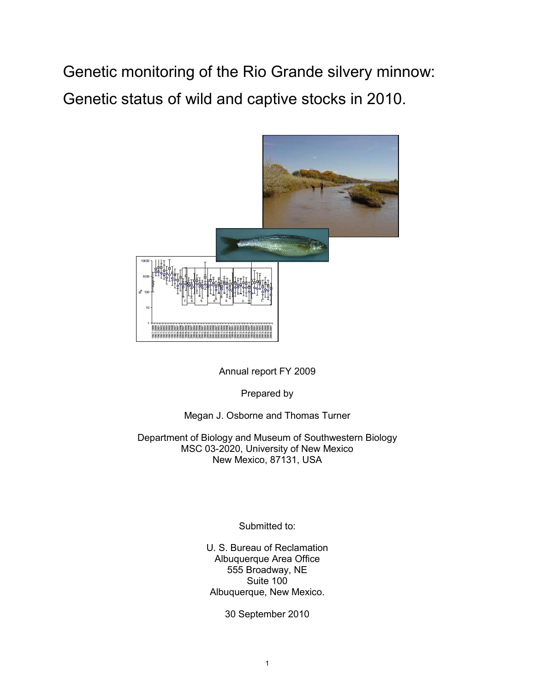Genetic monitoring of the Rio Grande silvery minnow: Genetic status of wild and captive stocks in 2010.



Annual report FY 2009

Prepared by

# Megan J. Osborne and Thomas Turner

Department of Biology and Museum of Southwestern Biology MSC 03-2020, University of New Mexico New Mexico, 87131, USA

Submitted to:

U. S. Bureau of Reclamation Albuquerque Area Office 555 Broadway, NE Suite 100 Albuquerque, New Mexico.

30 September 2010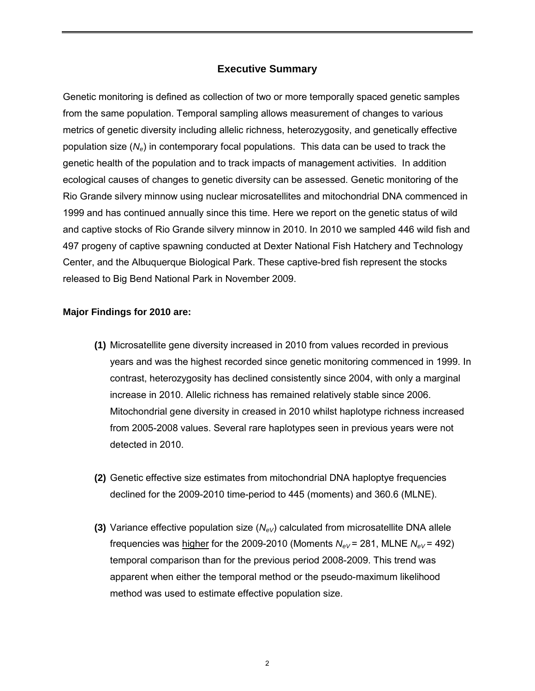# **Executive Summary**

Genetic monitoring is defined as collection of two or more temporally spaced genetic samples from the same population. Temporal sampling allows measurement of changes to various metrics of genetic diversity including allelic richness, heterozygosity, and genetically effective population size (*Ne*) in contemporary focal populations. This data can be used to track the genetic health of the population and to track impacts of management activities. In addition ecological causes of changes to genetic diversity can be assessed. Genetic monitoring of the Rio Grande silvery minnow using nuclear microsatellites and mitochondrial DNA commenced in 1999 and has continued annually since this time. Here we report on the genetic status of wild and captive stocks of Rio Grande silvery minnow in 2010. In 2010 we sampled 446 wild fish and 497 progeny of captive spawning conducted at Dexter National Fish Hatchery and Technology Center, and the Albuquerque Biological Park. These captive-bred fish represent the stocks released to Big Bend National Park in November 2009.

## **Major Findings for 2010 are:**

- **(1)** Microsatellite gene diversity increased in 2010 from values recorded in previous years and was the highest recorded since genetic monitoring commenced in 1999. In contrast, heterozygosity has declined consistently since 2004, with only a marginal increase in 2010. Allelic richness has remained relatively stable since 2006. Mitochondrial gene diversity in creased in 2010 whilst haplotype richness increased from 2005-2008 values. Several rare haplotypes seen in previous years were not detected in 2010.
- **(2)** Genetic effective size estimates from mitochondrial DNA haploptye frequencies declined for the 2009-2010 time-period to 445 (moments) and 360.6 (MLNE).
- **(3)** Variance effective population size  $(N_{eV})$  calculated from microsatellite DNA allele frequencies was higher for the 2009-2010 (Moments  $N_{eV}$  = 281, MLNE  $N_{eV}$  = 492) temporal comparison than for the previous period 2008-2009. This trend was apparent when either the temporal method or the pseudo-maximum likelihood method was used to estimate effective population size.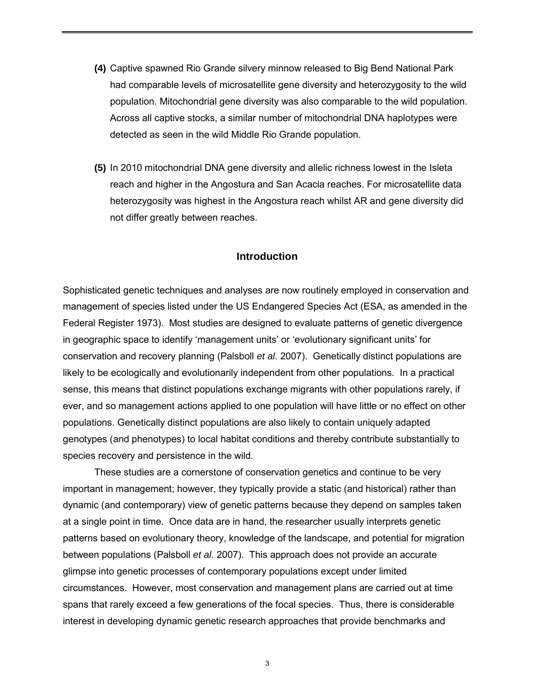- **(4)** Captive spawned Rio Grande silvery minnow released to Big Bend National Park had comparable levels of microsatellite gene diversity and heterozygosity to the wild population. Mitochondrial gene diversity was also comparable to the wild population. Across all captive stocks, a similar number of mitochondrial DNA haplotypes were detected as seen in the wild Middle Rio Grande population.
- **(5)** In 2010 mitochondrial DNA gene diversity and allelic richness lowest in the Isleta reach and higher in the Angostura and San Acacia reaches. For microsatellite data heterozygosity was highest in the Angostura reach whilst AR and gene diversity did not differ greatly between reaches.

## **Introduction**

Sophisticated genetic techniques and analyses are now routinely employed in conservation and management of species listed under the US Endangered Species Act (ESA, as amended in the Federal Register 1973). Most studies are designed to evaluate patterns of genetic divergence in geographic space to identify 'management units' or 'evolutionary significant units' for conservation and recovery planning (Palsboll *et al*. 2007). Genetically distinct populations are likely to be ecologically and evolutionarily independent from other populations. In a practical sense, this means that distinct populations exchange migrants with other populations rarely, if ever, and so management actions applied to one population will have little or no effect on other populations. Genetically distinct populations are also likely to contain uniquely adapted genotypes (and phenotypes) to local habitat conditions and thereby contribute substantially to species recovery and persistence in the wild.

These studies are a cornerstone of conservation genetics and continue to be very important in management; however, they typically provide a static (and historical) rather than dynamic (and contemporary) view of genetic patterns because they depend on samples taken at a single point in time. Once data are in hand, the researcher usually interprets genetic patterns based on evolutionary theory, knowledge of the landscape, and potential for migration between populations (Palsboll *et al*. 2007). This approach does not provide an accurate glimpse into genetic processes of contemporary populations except under limited circumstances. However, most conservation and management plans are carried out at time spans that rarely exceed a few generations of the focal species. Thus, there is considerable interest in developing dynamic genetic research approaches that provide benchmarks and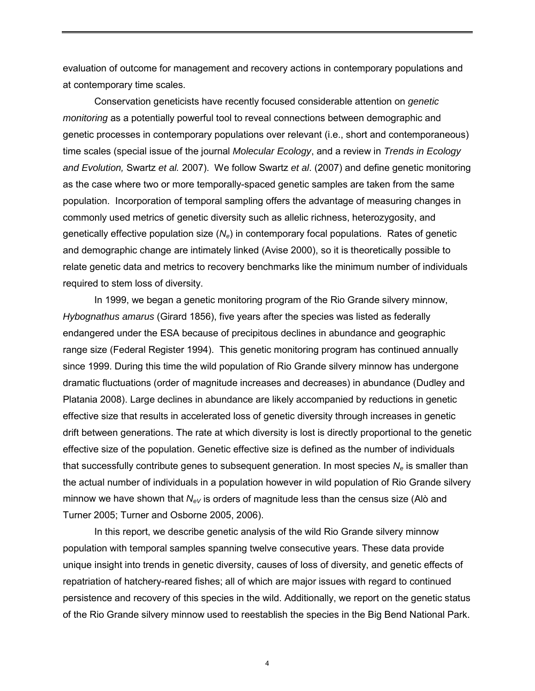evaluation of outcome for management and recovery actions in contemporary populations and at contemporary time scales.

Conservation geneticists have recently focused considerable attention on *genetic monitoring* as a potentially powerful tool to reveal connections between demographic and genetic processes in contemporary populations over relevant (i.e., short and contemporaneous) time scales (special issue of the journal *Molecular Ecology*, and a review in *Trends in Ecology and Evolution,* Swartz *et al.* 2007). We follow Swartz *et al*. (2007) and define genetic monitoring as the case where two or more temporally-spaced genetic samples are taken from the same population. Incorporation of temporal sampling offers the advantage of measuring changes in commonly used metrics of genetic diversity such as allelic richness, heterozygosity, and genetically effective population size (*Ne*) in contemporary focal populations. Rates of genetic and demographic change are intimately linked (Avise 2000), so it is theoretically possible to relate genetic data and metrics to recovery benchmarks like the minimum number of individuals required to stem loss of diversity.

In 1999, we began a genetic monitoring program of the Rio Grande silvery minnow, *Hybognathus amarus* (Girard 1856), five years after the species was listed as federally endangered under the ESA because of precipitous declines in abundance and geographic range size (Federal Register 1994). This genetic monitoring program has continued annually since 1999. During this time the wild population of Rio Grande silvery minnow has undergone dramatic fluctuations (order of magnitude increases and decreases) in abundance (Dudley and Platania 2008). Large declines in abundance are likely accompanied by reductions in genetic effective size that results in accelerated loss of genetic diversity through increases in genetic drift between generations. The rate at which diversity is lost is directly proportional to the genetic effective size of the population. Genetic effective size is defined as the number of individuals that successfully contribute genes to subsequent generation. In most species  $N_e$  is smaller than the actual number of individuals in a population however in wild population of Rio Grande silvery minnow we have shown that  $N_{eV}$  is orders of magnitude less than the census size (Alò and Turner 2005; Turner and Osborne 2005, 2006).

In this report, we describe genetic analysis of the wild Rio Grande silvery minnow population with temporal samples spanning twelve consecutive years. These data provide unique insight into trends in genetic diversity, causes of loss of diversity, and genetic effects of repatriation of hatchery-reared fishes; all of which are major issues with regard to continued persistence and recovery of this species in the wild. Additionally, we report on the genetic status of the Rio Grande silvery minnow used to reestablish the species in the Big Bend National Park.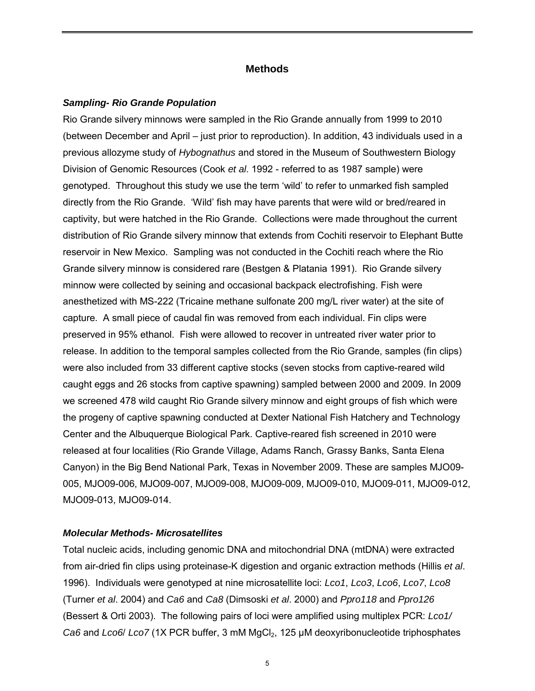## **Methods**

#### *Sampling- Rio Grande Population*

Rio Grande silvery minnows were sampled in the Rio Grande annually from 1999 to 2010 (between December and April – just prior to reproduction). In addition, 43 individuals used in a previous allozyme study of *Hybognathus* and stored in the Museum of Southwestern Biology Division of Genomic Resources (Cook *et al*. 1992 - referred to as 1987 sample) were genotyped. Throughout this study we use the term 'wild' to refer to unmarked fish sampled directly from the Rio Grande. 'Wild' fish may have parents that were wild or bred/reared in captivity, but were hatched in the Rio Grande. Collections were made throughout the current distribution of Rio Grande silvery minnow that extends from Cochiti reservoir to Elephant Butte reservoir in New Mexico. Sampling was not conducted in the Cochiti reach where the Rio Grande silvery minnow is considered rare (Bestgen & Platania 1991). Rio Grande silvery minnow were collected by seining and occasional backpack electrofishing. Fish were anesthetized with MS-222 (Tricaine methane sulfonate 200 mg/L river water) at the site of capture. A small piece of caudal fin was removed from each individual. Fin clips were preserved in 95% ethanol. Fish were allowed to recover in untreated river water prior to release. In addition to the temporal samples collected from the Rio Grande, samples (fin clips) were also included from 33 different captive stocks (seven stocks from captive-reared wild caught eggs and 26 stocks from captive spawning) sampled between 2000 and 2009. In 2009 we screened 478 wild caught Rio Grande silvery minnow and eight groups of fish which were the progeny of captive spawning conducted at Dexter National Fish Hatchery and Technology Center and the Albuquerque Biological Park. Captive-reared fish screened in 2010 were released at four localities (Rio Grande Village, Adams Ranch, Grassy Banks, Santa Elena Canyon) in the Big Bend National Park, Texas in November 2009. These are samples MJO09- 005, MJO09-006, MJO09-007, MJO09-008, MJO09-009, MJO09-010, MJO09-011, MJO09-012, MJO09-013, MJO09-014.

## *Molecular Methods- Microsatellites*

Total nucleic acids, including genomic DNA and mitochondrial DNA (mtDNA) were extracted from air-dried fin clips using proteinase-K digestion and organic extraction methods (Hillis *et al*. 1996). Individuals were genotyped at nine microsatellite loci: *Lco1*, *Lco3*, *Lco6*, *Lco7*, *Lco8* (Turner *et al*. 2004) and *Ca6* and *Ca8* (Dimsoski *et al*. 2000) and *Ppro118* and *Ppro126* (Bessert & Orti 2003). The following pairs of loci were amplified using multiplex PCR: *Lco1/ Ca6* and *Lco6*/ *Lco7* (1X PCR buffer, 3 mM MgCl<sub>2</sub>, 125 µM deoxyribonucleotide triphosphates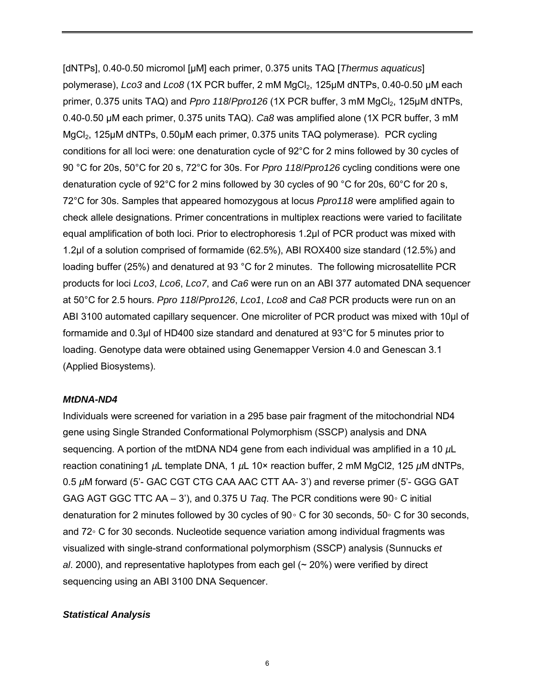[dNTPs], 0.40-0.50 micromol [µM] each primer, 0.375 units TAQ [*Thermus aquaticus*] polymerase), *Lco3* and *Lco8* (1X PCR buffer, 2 mM MgCl2, 125µM dNTPs, 0.40-0.50 µM each primer, 0.375 units TAQ) and *Ppro 118*/*Ppro126* (1X PCR buffer, 3 mM MgCl<sub>2</sub>, 125µM dNTPs, 0.40-0.50 µM each primer, 0.375 units TAQ). *Ca8* was amplified alone (1X PCR buffer, 3 mM MgCl<sub>2</sub>, 125µM dNTPs, 0.50µM each primer, 0.375 units TAQ polymerase). PCR cycling conditions for all loci were: one denaturation cycle of 92°C for 2 mins followed by 30 cycles of 90 °C for 20s, 50°C for 20 s, 72°C for 30s. For *Ppro 118*/*Ppro126* cycling conditions were one denaturation cycle of 92°C for 2 mins followed by 30 cycles of 90 °C for 20s, 60°C for 20 s, 72°C for 30s. Samples that appeared homozygous at locus *Ppro118* were amplified again to check allele designations. Primer concentrations in multiplex reactions were varied to facilitate equal amplification of both loci. Prior to electrophoresis 1.2µl of PCR product was mixed with 1.2µl of a solution comprised of formamide (62.5%), ABI ROX400 size standard (12.5%) and loading buffer (25%) and denatured at 93 °C for 2 minutes. The following microsatellite PCR products for loci *Lco3*, *Lco6*, *Lco7*, and *Ca6* were run on an ABI 377 automated DNA sequencer at 50°C for 2.5 hours. *Ppro 118*/*Ppro126*, *Lco1*, *Lco8* and *Ca8* PCR products were run on an ABI 3100 automated capillary sequencer. One microliter of PCR product was mixed with 10µl of formamide and 0.3µl of HD400 size standard and denatured at 93°C for 5 minutes prior to loading. Genotype data were obtained using Genemapper Version 4.0 and Genescan 3.1 (Applied Biosystems).

#### *MtDNA-ND4*

Individuals were screened for variation in a 295 base pair fragment of the mitochondrial ND4 gene using Single Stranded Conformational Polymorphism (SSCP) analysis and DNA sequencing. A portion of the mtDNA ND4 gene from each individual was amplified in a 10 *µ*L reaction conatining1 *µ*L template DNA, 1 *µ*L 10× reaction buffer, 2 mM MgCl2, 125 *µ*M dNTPs, 0.5 *µ*M forward (5'- GAC CGT CTG CAA AAC CTT AA- 3') and reverse primer (5'- GGG GAT GAG AGT GGC TTC AA – 3'), and 0.375 U *Taq*. The PCR conditions were 90◦ C initial denaturation for 2 minutes followed by 30 cycles of 90◦ C for 30 seconds, 50◦ C for 30 seconds, and 72◦ C for 30 seconds. Nucleotide sequence variation among individual fragments was visualized with single-strand conformational polymorphism (SSCP) analysis (Sunnucks *et al*. 2000), and representative haplotypes from each gel (~ 20%) were verified by direct sequencing using an ABI 3100 DNA Sequencer.

## *Statistical Analysis*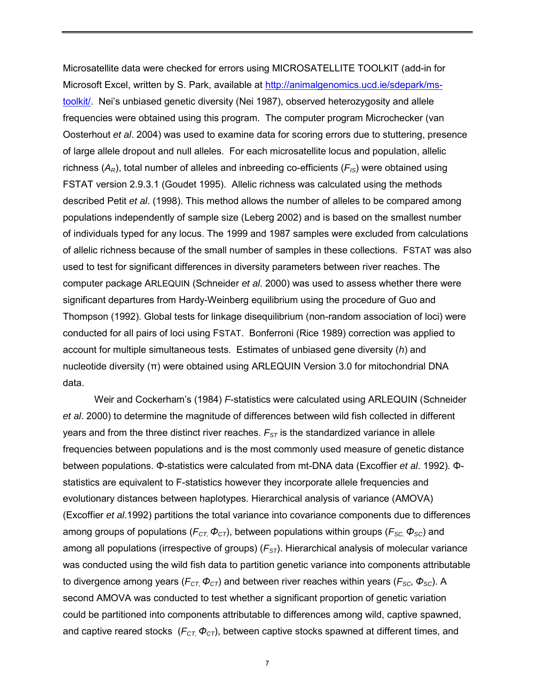Microsatellite data were checked for errors using MICROSATELLITE TOOLKIT (add-in for Microsoft Excel, written by S. Park, available at [http://animalgenomics.ucd.ie/sdepark/ms](http://animalgenomics.ucd.ie/sdepark/ms-toolkit/)[toolkit/.](http://animalgenomics.ucd.ie/sdepark/ms-toolkit/) Nei's unbiased genetic diversity (Nei 1987), observed heterozygosity and allele frequencies were obtained using this program. The computer program Microchecker (van Oosterhout *et al*. 2004) was used to examine data for scoring errors due to stuttering, presence of large allele dropout and null alleles. For each microsatellite locus and population, allelic richness  $(A_R)$ , total number of alleles and inbreeding co-efficients  $(F_{IS})$  were obtained using FSTAT version 2.9.3.1 (Goudet 1995). Allelic richness was calculated using the methods described Petit *et al*. (1998). This method allows the number of alleles to be compared among populations independently of sample size (Leberg 2002) and is based on the smallest number of individuals typed for any locus. The 1999 and 1987 samples were excluded from calculations of allelic richness because of the small number of samples in these collections. FSTAT was also used to test for significant differences in diversity parameters between river reaches. The computer package ARLEQUIN (Schneider *et al*. 2000) was used to assess whether there were significant departures from Hardy-Weinberg equilibrium using the procedure of Guo and Thompson (1992). Global tests for linkage disequilibrium (non-random association of loci) were conducted for all pairs of loci using FSTAT. Bonferroni (Rice 1989) correction was applied to account for multiple simultaneous tests. Estimates of unbiased gene diversity (*h*) and nucleotide diversity (π) were obtained using ARLEQUIN Version 3.0 for mitochondrial DNA data.

Weir and Cockerham's (1984) *F*-statistics were calculated using ARLEQUIN (Schneider *et al*. 2000) to determine the magnitude of differences between wild fish collected in different years and from the three distinct river reaches.  $F_{ST}$  is the standardized variance in allele frequencies between populations and is the most commonly used measure of genetic distance between populations. Φ-statistics were calculated from mt-DNA data (Excoffier *et al*. 1992). Φstatistics are equivalent to F-statistics however they incorporate allele frequencies and evolutionary distances between haplotypes. Hierarchical analysis of variance (AMOVA) (Excoffier *et al*.1992) partitions the total variance into covariance components due to differences among groups of populations ( $F_{CT}$ ,  $\Phi_{CT}$ ), between populations within groups ( $F_{SC}$ ,  $\Phi_{SC}$ ) and among all populations (irrespective of groups) ( $F_{ST}$ ). Hierarchical analysis of molecular variance was conducted using the wild fish data to partition genetic variance into components attributable to divergence among years ( $F_{CT}$ ,  $\phi_{CT}$ ) and between river reaches within years ( $F_{SC}$ ,  $\phi_{SC}$ ). A second AMOVA was conducted to test whether a significant proportion of genetic variation could be partitioned into components attributable to differences among wild, captive spawned, and captive reared stocks ( $F_{CT}$ ,  $\Phi_{CT}$ ), between captive stocks spawned at different times, and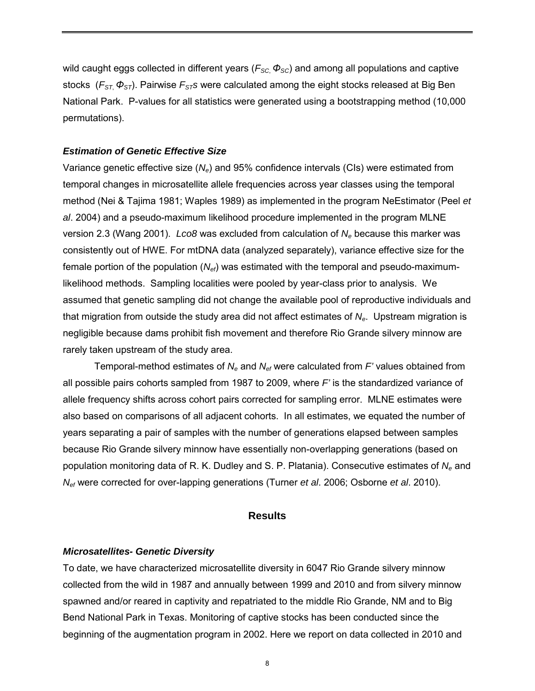wild caught eggs collected in different years ( $F_{SC}$ ,  $\Phi_{SC}$ ) and among all populations and captive stocks (*FST*, *ΦST*). Pairwise *FSTs* were calculated among the eight stocks released at Big Ben National Park. P-values for all statistics were generated using a bootstrapping method (10,000 permutations).

## *Estimation of Genetic Effective Size*

Variance genetic effective size (*Ne*) and 95% confidence intervals (CIs) were estimated from temporal changes in microsatellite allele frequencies across year classes using the temporal method (Nei & Tajima 1981; Waples 1989) as implemented in the program NeEstimator (Peel *et al*. 2004) and a pseudo-maximum likelihood procedure implemented in the program MLNE version 2.3 (Wang 2001). *Lco8* was excluded from calculation of *Ne* because this marker was consistently out of HWE. For mtDNA data (analyzed separately), variance effective size for the female portion of the population (*Nef*) was estimated with the temporal and pseudo-maximumlikelihood methods. Sampling localities were pooled by year-class prior to analysis. We assumed that genetic sampling did not change the available pool of reproductive individuals and that migration from outside the study area did not affect estimates of *Ne*. Upstream migration is negligible because dams prohibit fish movement and therefore Rio Grande silvery minnow are rarely taken upstream of the study area.

Temporal-method estimates of *Ne* and *Nef* were calculated from *F'* values obtained from all possible pairs cohorts sampled from 1987 to 2009, where *F'* is the standardized variance of allele frequency shifts across cohort pairs corrected for sampling error. MLNE estimates were also based on comparisons of all adjacent cohorts. In all estimates, we equated the number of years separating a pair of samples with the number of generations elapsed between samples because Rio Grande silvery minnow have essentially non-overlapping generations (based on population monitoring data of R. K. Dudley and S. P. Platania). Consecutive estimates of *Ne* and *Nef* were corrected for over-lapping generations (Turner *et al*. 2006; Osborne *et al*. 2010).

#### **Results**

### *Microsatellites- Genetic Diversity*

To date, we have characterized microsatellite diversity in 6047 Rio Grande silvery minnow collected from the wild in 1987 and annually between 1999 and 2010 and from silvery minnow spawned and/or reared in captivity and repatriated to the middle Rio Grande, NM and to Big Bend National Park in Texas. Monitoring of captive stocks has been conducted since the beginning of the augmentation program in 2002. Here we report on data collected in 2010 and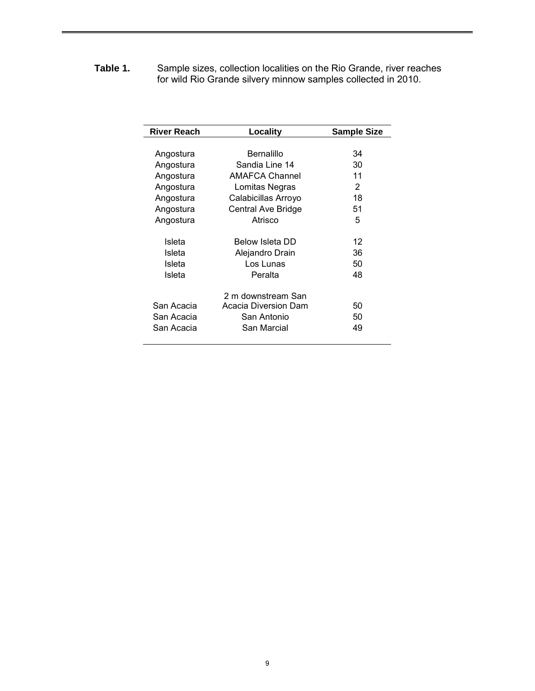**Table 1.** Sample sizes, collection localities on the Rio Grande, river reaches for wild Rio Grande silvery minnow samples collected in 2010.

| <b>River Reach</b> | Locality                  | <b>Sample Size</b> |
|--------------------|---------------------------|--------------------|
|                    |                           |                    |
| Angostura          | Bernalillo                | 34                 |
| Angostura          | Sandia Line 14            | 30                 |
| Angostura          | <b>AMAFCA Channel</b>     | 11                 |
| Angostura          | Lomitas Negras            | 2                  |
| Angostura          | Calabicillas Arroyo       | 18                 |
| Angostura          | <b>Central Ave Bridge</b> | 51                 |
| Angostura          | Atrisco                   | 5                  |
|                    |                           |                    |
| Isleta             | Below Isleta DD           | 12                 |
| Isleta             | Alejandro Drain           | 36                 |
| Isleta             | Los Lunas                 | 50                 |
| Isleta             | Peralta                   | 48                 |
|                    |                           |                    |
|                    | 2 m downstream San        |                    |
| San Acacia         | Acacia Diversion Dam      | 50                 |
| San Acacia         | San Antonio               | 50                 |
| San Acacia         | San Marcial               | 49                 |
|                    |                           |                    |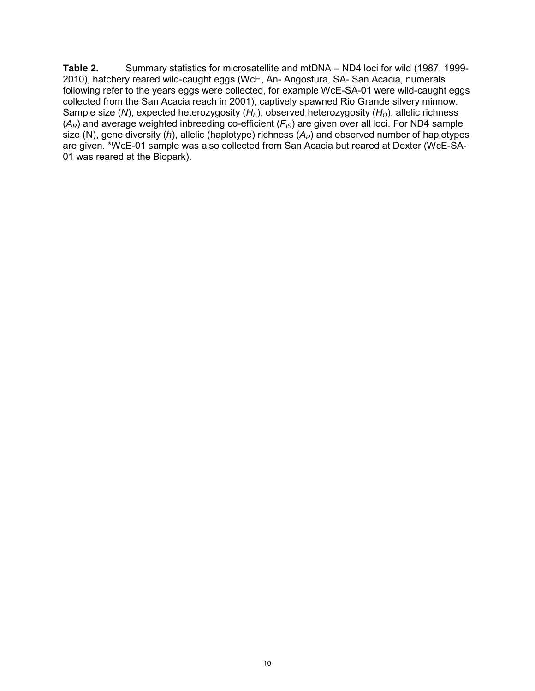**Table 2.** Summary statistics for microsatellite and mtDNA – ND4 loci for wild (1987, 1999- 2010), hatchery reared wild-caught eggs (WcE, An- Angostura, SA- San Acacia, numerals following refer to the years eggs were collected, for example WcE-SA-01 were wild-caught eggs collected from the San Acacia reach in 2001), captively spawned Rio Grande silvery minnow. Sample size (*N*), expected heterozygosity ( $H_F$ ), observed heterozygosity ( $H_O$ ), allelic richness  $(A_R)$  and average weighted inbreeding co-efficient  $(F_{IS})$  are given over all loci. For ND4 sample size (N), gene diversity (*h*), allelic (haplotype) richness  $(A_R)$  and observed number of haplotypes are given. \*WcE-01 sample was also collected from San Acacia but reared at Dexter (WcE-SA-01 was reared at the Biopark).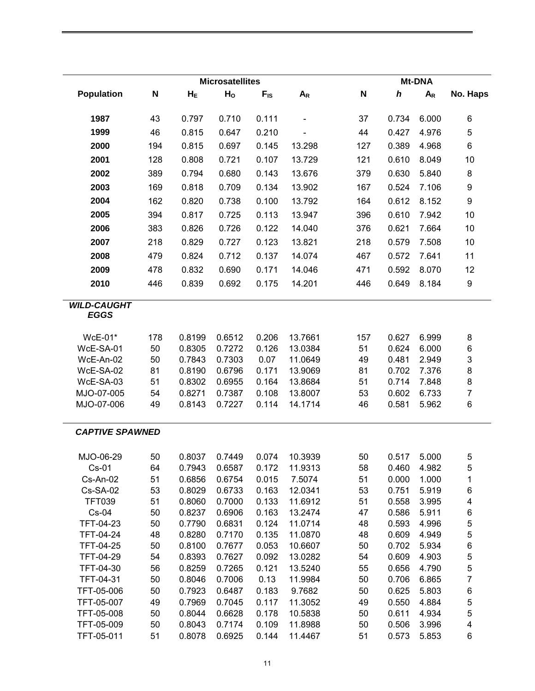|                                   |          |                  | <b>Microsatellites</b> |               |                          |          |                | <b>Mt-DNA</b>  |                         |
|-----------------------------------|----------|------------------|------------------------|---------------|--------------------------|----------|----------------|----------------|-------------------------|
| <b>Population</b>                 | N        | $H_E$            | H <sub>o</sub>         | $F_{IS}$      | $A_R$                    | N        | h              | $A_R$          | No. Haps                |
| 1987                              | 43       | 0.797            | 0.710                  | 0.111         | $\overline{\phantom{0}}$ | 37       | 0.734          | 6.000          | 6                       |
| 1999                              | 46       | 0.815            | 0.647                  | 0.210         |                          | 44       | 0.427          | 4.976          | 5                       |
| 2000                              | 194      | 0.815            | 0.697                  | 0.145         | 13.298                   | 127      | 0.389          | 4.968          | 6                       |
|                                   |          |                  |                        |               |                          |          |                |                |                         |
| 2001                              | 128      | 0.808            | 0.721                  | 0.107         | 13.729                   | 121      | 0.610          | 8.049          | 10                      |
| 2002                              | 389      | 0.794            | 0.680                  | 0.143         | 13.676                   | 379      | 0.630          | 5.840          | 8                       |
| 2003                              | 169      | 0.818            | 0.709                  | 0.134         | 13.902                   | 167      | 0.524          | 7.106          | 9                       |
| 2004                              | 162      | 0.820            | 0.738                  | 0.100         | 13.792                   | 164      | 0.612          | 8.152          | 9                       |
| 2005                              | 394      | 0.817            | 0.725                  | 0.113         | 13.947                   | 396      | 0.610          | 7.942          | 10                      |
| 2006                              | 383      | 0.826            | 0.726                  | 0.122         | 14.040                   | 376      | 0.621          | 7.664          | 10                      |
| 2007                              | 218      | 0.829            | 0.727                  | 0.123         | 13.821                   | 218      | 0.579          | 7.508          | 10                      |
| 2008                              | 479      | 0.824            | 0.712                  | 0.137         | 14.074                   | 467      | 0.572          | 7.641          | 11                      |
| 2009                              | 478      | 0.832            | 0.690                  | 0.171         | 14.046                   | 471      | 0.592          | 8.070          | 12                      |
|                                   |          |                  |                        |               |                          |          |                | 8.184          |                         |
| 2010                              | 446      | 0.839            | 0.692                  | 0.175         | 14.201                   | 446      | 0.649          |                | 9                       |
| <b>WILD-CAUGHT</b><br><b>EGGS</b> |          |                  |                        |               |                          |          |                |                |                         |
| WcE-01*                           | 178      | 0.8199           | 0.6512                 | 0.206         | 13.7661                  | 157      | 0.627          | 6.999          |                         |
| WcE-SA-01                         | 50       | 0.8305           | 0.7272                 | 0.126         | 13.0384                  | 51       | 0.624          | 6.000          | 8<br>6                  |
| WcE-An-02                         | 50       | 0.7843           | 0.7303                 | 0.07          | 11.0649                  | 49       | 0.481          | 2.949          | 3                       |
| WcE-SA-02                         | 81       | 0.8190           | 0.6796                 | 0.171         | 13.9069                  | 81       | 0.702          | 7.376          | 8                       |
| WcE-SA-03                         | 51       | 0.8302           | 0.6955                 | 0.164         | 13.8684                  | 51       | 0.714          | 7.848          | 8                       |
| MJO-07-005                        | 54       | 0.8271           | 0.7387                 | 0.108         | 13.8007                  | 53       | 0.602          | 6.733          | $\overline{7}$          |
| MJO-07-006                        | 49       | 0.8143           | 0.7227                 | 0.114         | 14.1714                  | 46       | 0.581          | 5.962          | 6                       |
| <b>CAPTIVE SPAWNED</b>            |          |                  |                        |               |                          |          |                |                |                         |
| MJO-06-29                         | 50       | 0.8037           | 0.7449                 | 0.074         | 10.3939                  | 50       | 0.517          | 5.000          | 5                       |
| $Cs-01$                           | 64       | 0.7943           | 0.6587                 | 0.172         | 11.9313                  | 58       | 0.460          | 4.982          | 5                       |
| Cs-An-02                          | 51       | 0.6856           | 0.6754                 | 0.015         | 7.5074                   | 51       | 0.000          | 1.000          | 1                       |
| Cs-SA-02                          | 53       | 0.8029           | 0.6733                 | 0.163         | 12.0341                  | 53       | 0.751          | 5.919          | 6                       |
| <b>TFT039</b>                     | 51       | 0.8060           | 0.7000                 | 0.133         | 11.6912                  | 51       | 0.558          | 3.995          | 4                       |
| $Cs-04$                           | 50       | 0.8237           | 0.6906                 | 0.163         | 13.2474                  | 47       | 0.586          | 5.911          | 6                       |
| TFT-04-23                         | 50       | 0.7790           | 0.6831                 | 0.124         | 11.0714                  | 48       | 0.593          | 4.996          | 5                       |
| TFT-04-24                         | 48       | 0.8280           | 0.7170                 | 0.135         | 11.0870                  | 48       | 0.609          | 4.949          | 5                       |
| TFT-04-25                         | 50       | 0.8100           | 0.7677                 | 0.053         | 10.6607                  | 50       | 0.702          | 5.934          | 6                       |
| TFT-04-29                         | 54       | 0.8393           | 0.7627                 | 0.092         | 13.0282                  | 54       | 0.609          | 4.903          | 5                       |
| TFT-04-30                         | 56<br>50 | 0.8259           | 0.7265                 | 0.121<br>0.13 | 13.5240                  | 55       | 0.656          | 4.790          | 5<br>$\overline{7}$     |
| TFT-04-31<br>TFT-05-006           | 50       | 0.8046<br>0.7923 | 0.7006<br>0.6487       | 0.183         | 11.9984<br>9.7682        | 50<br>50 | 0.706<br>0.625 | 6.865<br>5.803 | 6                       |
| TFT-05-007                        | 49       | 0.7969           | 0.7045                 | 0.117         | 11.3052                  | 49       | 0.550          | 4.884          | 5                       |
| TFT-05-008                        | 50       | 0.8044           | 0.6628                 | 0.178         | 10.5838                  | 50       | 0.611          | 4.934          | 5                       |
| TFT-05-009                        | 50       | 0.8043           | 0.7174                 | 0.109         | 11.8988                  | 50       | 0.506          | 3.996          | $\overline{\mathbf{4}}$ |
| TFT-05-011                        | 51       | 0.8078           | 0.6925                 | 0.144         | 11.4467                  | 51       | 0.573          | 5.853          | 6                       |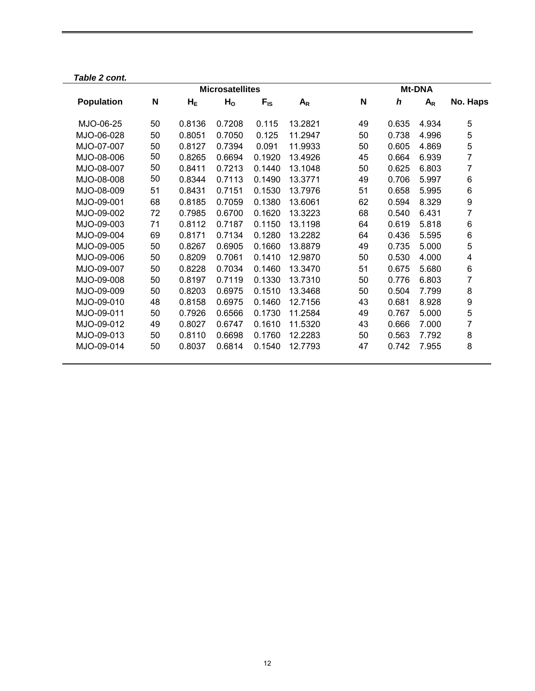| N  | $H_E$  | H <sub>o</sub> | $F_{IS}$ | $A_R$                  | N  | h     | $A_R$ | No. Haps        |
|----|--------|----------------|----------|------------------------|----|-------|-------|-----------------|
| 50 | 0.8136 | 0.7208         | 0.115    | 13.2821                | 49 | 0.635 | 4.934 | 5               |
| 50 | 0.8051 | 0.7050         | 0.125    | 11.2947                | 50 | 0.738 | 4.996 | 5               |
| 50 | 0.8127 | 0.7394         | 0.091    | 11.9933                | 50 | 0.605 | 4.869 | 5               |
| 50 | 0.8265 | 0.6694         | 0.1920   | 13.4926                | 45 | 0.664 | 6.939 | 7               |
| 50 | 0.8411 | 0.7213         | 0.1440   | 13.1048                | 50 | 0.625 | 6.803 | 7               |
| 50 | 0.8344 | 0.7113         | 0.1490   | 13.3771                | 49 | 0.706 | 5.997 | 6               |
| 51 | 0.8431 | 0.7151         | 0.1530   | 13.7976                | 51 | 0.658 | 5.995 | $6\phantom{1}6$ |
| 68 | 0.8185 | 0.7059         | 0.1380   | 13.6061                | 62 | 0.594 | 8.329 | 9               |
| 72 | 0.7985 | 0.6700         | 0.1620   | 13.3223                | 68 | 0.540 | 6.431 | 7               |
| 71 | 0.8112 | 0.7187         | 0.1150   | 13.1198                | 64 | 0.619 | 5.818 | 6               |
| 69 | 0.8171 | 0.7134         | 0.1280   | 13.2282                | 64 | 0.436 | 5.595 | $6\phantom{1}6$ |
| 50 | 0.8267 | 0.6905         | 0.1660   | 13.8879                | 49 | 0.735 | 5.000 | 5               |
| 50 | 0.8209 | 0.7061         | 0.1410   | 12.9870                | 50 | 0.530 | 4.000 | 4               |
| 50 | 0.8228 | 0.7034         | 0.1460   | 13.3470                | 51 | 0.675 | 5.680 | 6               |
| 50 | 0.8197 | 0.7119         | 0.1330   | 13.7310                | 50 | 0.776 | 6.803 | 7               |
| 50 | 0.8203 | 0.6975         | 0.1510   | 13.3468                | 50 | 0.504 | 7.799 | 8               |
| 48 | 0.8158 | 0.6975         | 0.1460   | 12.7156                | 43 | 0.681 | 8.928 | 9               |
| 50 | 0.7926 | 0.6566         | 0.1730   | 11.2584                | 49 | 0.767 | 5.000 | 5               |
| 49 | 0.8027 | 0.6747         | 0.1610   | 11.5320                | 43 | 0.666 | 7.000 | 7               |
| 50 | 0.8110 | 0.6698         | 0.1760   | 12.2283                | 50 | 0.563 | 7.792 | 8               |
| 50 | 0.8037 | 0.6814         | 0.1540   | 12.7793                | 47 | 0.742 | 7.955 | 8               |
|    |        |                |          | <b>Microsatellites</b> |    |       |       | <b>Mt-DNA</b>   |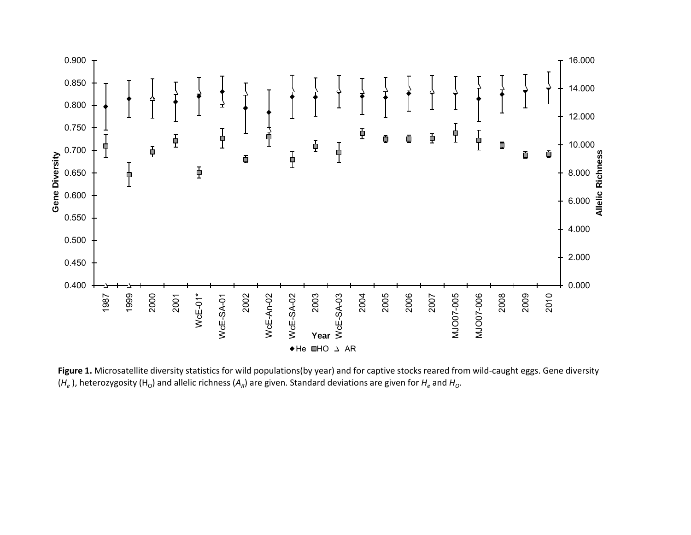

Figure 1. Microsatellite diversity statistics for wild populations(by year) and for captive stocks reared from wild-caught eggs. Gene diversity  $(H_e)$ , heterozygosity (H<sub>O</sub>) and allelic richness (A<sub>R</sub>) are given. Standard deviations are given for  $H_e$  and  $H_o$ .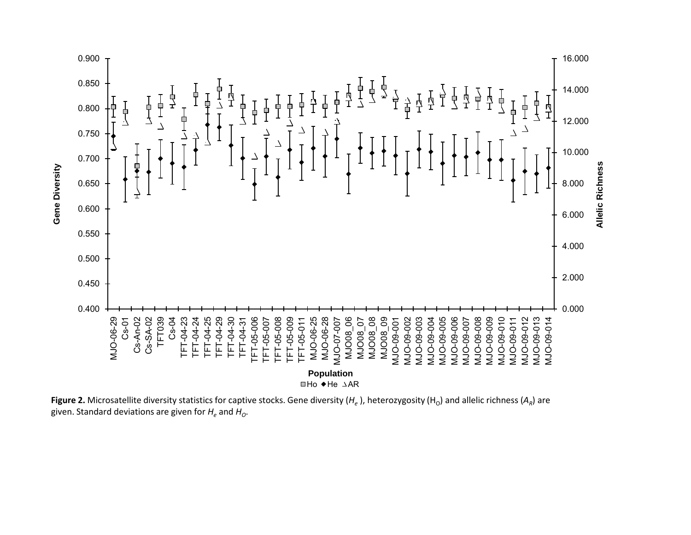

**Figure 2.** Microsatellite diversity statistics for captive stocks. Gene diversity  $(H_e)$ , heterozygosity  $(H_0)$  and allelic richness  $(A_R)$  are given. Standard deviations are given for  $H_e$  and  $H_o$ .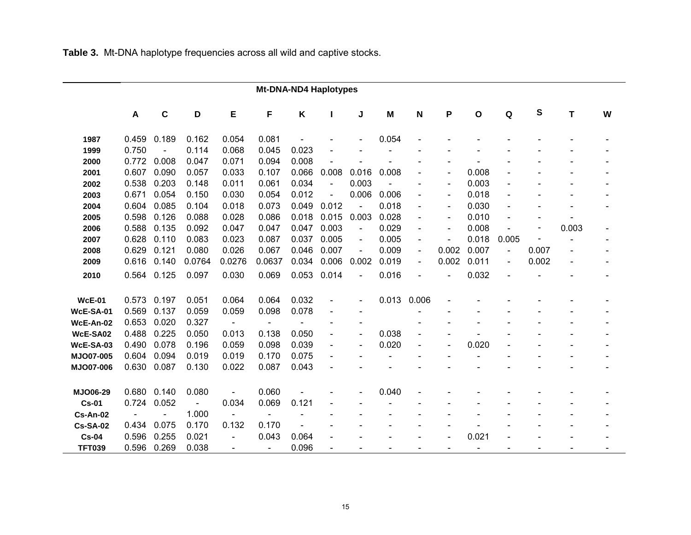**Table 3.** Mt-DNA haplotype frequencies across all wild and captive stocks.

|                  | <b>Mt-DNA-ND4 Haplotypes</b> |                |                |                          |                          |                   |                              |                |       |                          |                          |                          |                |       |       |   |
|------------------|------------------------------|----------------|----------------|--------------------------|--------------------------|-------------------|------------------------------|----------------|-------|--------------------------|--------------------------|--------------------------|----------------|-------|-------|---|
|                  | A                            | $\mathbf C$    | D              | Е                        | F                        | Κ                 |                              | J              | M     | N                        | P                        | $\mathbf{o}$             | Q              | S     | т     | W |
| 1987             | 0.459                        | 0.189          | 0.162          | 0.054                    | 0.081                    |                   |                              |                | 0.054 |                          |                          |                          |                |       |       |   |
| 1999             | 0.750                        | $\blacksquare$ | 0.114          | 0.068                    | 0.045                    | 0.023             |                              |                |       |                          |                          |                          |                |       |       |   |
| 2000             | 0.772                        | 0.008          | 0.047          | 0.071                    | 0.094                    | 0.008             |                              |                |       |                          |                          |                          |                |       |       |   |
| 2001             | 0.607                        | 0.090          | 0.057          | 0.033                    | 0.107                    | 0.066             | 0.008                        | 0.016          | 0.008 |                          |                          | 0.008                    |                |       |       |   |
| 2002             | 0.538                        | 0.203          | 0.148          | 0.011                    | 0.061                    | 0.034             | $\sim$                       | 0.003          |       |                          | $\blacksquare$           | 0.003                    |                |       |       |   |
| 2003             | 0.671                        | 0.054          | 0.150          | 0.030                    | 0.054                    | 0.012             |                              | 0.006          | 0.006 | $\blacksquare$           | $\blacksquare$           | 0.018                    |                |       |       |   |
| 2004             | 0.604                        | 0.085          | 0.104          | 0.018                    | 0.073                    | 0.049             | 0.012                        | $\blacksquare$ | 0.018 | L,                       | $\overline{\phantom{a}}$ | 0.030                    |                |       |       |   |
| 2005             | 0.598                        | 0.126          | 0.088          | 0.028                    | 0.086                    | 0.018             | 0.015                        | 0.003          | 0.028 | $\overline{a}$           | $\blacksquare$           | 0.010                    |                |       |       |   |
| 2006             | 0.588                        | 0.135          | 0.092          | 0.047                    | 0.047                    | 0.047             | 0.003                        | $\blacksquare$ | 0.029 | $\blacksquare$           | $\blacksquare$           | 0.008                    |                |       | 0.003 |   |
| 2007             | 0.628                        | 0.110          | 0.083          | 0.023                    | 0.087                    | 0.037             | 0.005                        | $\blacksquare$ | 0.005 | $\overline{\phantom{a}}$ | $\blacksquare$           | 0.018                    | 0.005          |       |       |   |
| 2008             | 0.629                        | 0.121          | 0.080          | 0.026                    | 0.067                    | 0.046             | 0.007                        | $\blacksquare$ | 0.009 | $\blacksquare$           | 0.002                    | 0.007                    | $\blacksquare$ | 0.007 |       |   |
| 2009             | 0.616                        | 0.140          | 0.0764         | 0.0276                   | 0.0637                   | 0.034             | 0.006                        | 0.002          | 0.019 | $\blacksquare$           | 0.002                    | 0.011                    | $\blacksquare$ | 0.002 |       |   |
| 2010             | 0.564                        | 0.125          | 0.097          | 0.030                    | 0.069                    | 0.053             | 0.014                        | $\blacksquare$ | 0.016 |                          |                          | 0.032                    |                |       |       |   |
| <b>WcE-01</b>    | 0.573                        | 0.197          | 0.051          | 0.064                    | 0.064                    | 0.032             | $\overline{\phantom{a}}$     | $\blacksquare$ | 0.013 | 0.006                    |                          |                          |                |       |       |   |
| <b>WcE-SA-01</b> | 0.569                        | 0.137          | 0.059          | 0.059                    | 0.098                    | 0.078             | $\overline{\phantom{a}}$     |                |       |                          |                          |                          |                |       |       |   |
| WcE-An-02        | 0.653                        | 0.020          | 0.327          | $\blacksquare$           | $\blacksquare$           | $\qquad \qquad -$ | $\qquad \qquad \blacksquare$ |                |       |                          |                          |                          |                |       |       |   |
| WcE-SA02         | 0.488                        | 0.225          | 0.050          | 0.013                    | 0.138                    | 0.050             | $\overline{\phantom{a}}$     | $\blacksquare$ | 0.038 |                          |                          |                          |                |       |       |   |
| WcE-SA-03        | 0.490                        | 0.078          | 0.196          | 0.059                    | 0.098                    | 0.039             | $\blacksquare$               | L,             | 0.020 |                          |                          | 0.020                    |                |       |       |   |
| MJO07-005        | 0.604                        | 0.094          | 0.019          | 0.019                    | 0.170                    | 0.075             |                              |                |       |                          |                          |                          |                |       |       |   |
| MJO07-006        | 0.630                        | 0.087          | 0.130          | 0.022                    | 0.087                    | 0.043             |                              |                |       |                          |                          |                          |                |       |       |   |
| MJO06-29         | 0.680                        | 0.140          | 0.080          |                          | 0.060                    |                   |                              |                | 0.040 |                          |                          |                          |                |       |       |   |
| <b>Cs-01</b>     | 0.724                        | 0.052          | $\blacksquare$ | 0.034                    | 0.069                    | 0.121             |                              |                |       |                          |                          |                          |                |       |       |   |
| <b>Cs-An-02</b>  | $\blacksquare$               | $\blacksquare$ | 1.000          | $\blacksquare$           | $\overline{\phantom{a}}$ |                   |                              |                |       |                          |                          |                          |                |       |       |   |
| <b>Cs-SA-02</b>  | 0.434                        | 0.075          | 0.170          | 0.132                    | 0.170                    |                   |                              |                |       |                          |                          |                          |                |       |       |   |
| <b>Cs-04</b>     | 0.596                        | 0.255          | 0.021          |                          | 0.043                    | 0.064             |                              |                |       |                          |                          | 0.021                    |                |       |       |   |
| <b>TFT039</b>    | 0.596                        | 0.269          | 0.038          | $\overline{\phantom{a}}$ | $\blacksquare$           | 0.096             | $\overline{\phantom{a}}$     |                |       |                          | $\overline{\phantom{a}}$ | $\overline{\phantom{a}}$ |                |       |       |   |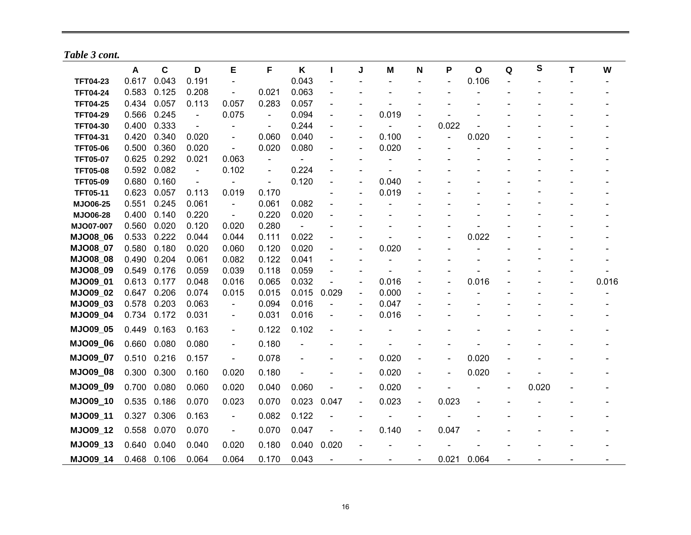*Table 3 cont.*

|                 | A     | C     | D                        | Е                        | F                        | Κ     | I.                       | J                        | M     | N                        | Ρ              | $\mathbf{o}$ | Q | S     | т | W     |
|-----------------|-------|-------|--------------------------|--------------------------|--------------------------|-------|--------------------------|--------------------------|-------|--------------------------|----------------|--------------|---|-------|---|-------|
| <b>TFT04-23</b> | 0.617 | 0.043 | 0.191                    | $\blacksquare$           |                          | 0.043 | $\overline{\phantom{0}}$ |                          |       |                          |                | 0.106        |   |       |   |       |
| <b>TFT04-24</b> | 0.583 | 0.125 | 0.208                    | $\blacksquare$           | 0.021                    | 0.063 | $\blacksquare$           |                          |       |                          |                |              |   |       |   |       |
| <b>TFT04-25</b> | 0.434 | 0.057 | 0.113                    | 0.057                    | 0.283                    | 0.057 | $\blacksquare$           |                          |       |                          |                |              |   |       |   |       |
| <b>TFT04-29</b> | 0.566 | 0.245 | $\overline{\phantom{a}}$ | 0.075                    | $\blacksquare$           | 0.094 | $\overline{a}$           | $\blacksquare$           | 0.019 |                          |                |              |   |       |   |       |
| <b>TFT04-30</b> | 0.400 | 0.333 | $\blacksquare$           |                          | $\overline{\phantom{0}}$ | 0.244 | $\blacksquare$           |                          |       | $\overline{\phantom{a}}$ | 0.022          |              |   |       |   |       |
| <b>TFT04-31</b> | 0.420 | 0.340 | 0.020                    | $\blacksquare$           | 0.060                    | 0.040 | $\blacksquare$           | $\blacksquare$           | 0.100 | $\blacksquare$           | $\overline{a}$ | 0.020        |   |       |   |       |
| <b>TFT05-06</b> | 0.500 | 0.360 | 0.020                    | $\blacksquare$           | 0.020                    | 0.080 | $\overline{\phantom{a}}$ | $\overline{\phantom{a}}$ | 0.020 |                          |                |              |   |       |   |       |
| <b>TFT05-07</b> | 0.625 | 0.292 | 0.021                    | 0.063                    | $\overline{\phantom{a}}$ |       | $\overline{\phantom{0}}$ |                          |       |                          |                |              |   |       |   |       |
| <b>TFT05-08</b> | 0.592 | 0.082 | $\blacksquare$           | 0.102                    | $\overline{a}$           | 0.224 | $\blacksquare$           |                          |       |                          |                |              |   |       |   |       |
| <b>TFT05-09</b> | 0.680 | 0.160 |                          |                          | $\blacksquare$           | 0.120 |                          |                          | 0.040 |                          |                |              |   |       |   |       |
| <b>TFT05-11</b> | 0.623 | 0.057 | 0.113                    | 0.019                    | 0.170                    |       |                          |                          | 0.019 |                          |                |              |   |       |   |       |
| MJO06-25        | 0.551 | 0.245 | 0.061                    | $\blacksquare$           | 0.061                    | 0.082 |                          |                          |       |                          |                |              |   |       |   |       |
| <b>MJO06-28</b> | 0.400 | 0.140 | 0.220                    | $\overline{\phantom{a}}$ | 0.220                    | 0.020 |                          |                          |       |                          |                |              |   |       |   |       |
| MJO07-007       | 0.560 | 0.020 | 0.120                    | 0.020                    | 0.280                    |       |                          |                          |       |                          |                |              |   |       |   |       |
| <b>MJO08_06</b> | 0.533 | 0.222 | 0.044                    | 0.044                    | 0.111                    | 0.022 | $\overline{a}$           |                          |       |                          |                | 0.022        |   |       |   |       |
| <b>MJO08_07</b> | 0.580 | 0.180 | 0.020                    | 0.060                    | 0.120                    | 0.020 | ÷,                       |                          | 0.020 |                          |                |              |   |       |   |       |
| <b>MJO08 08</b> | 0.490 | 0.204 | 0.061                    | 0.082                    | 0.122                    | 0.041 | $\blacksquare$           |                          |       |                          |                |              |   |       |   |       |
| <b>MJO08 09</b> | 0.549 | 0.176 | 0.059                    | 0.039                    | 0.118                    | 0.059 | $\blacksquare$           |                          |       |                          |                |              |   |       |   |       |
| <b>MJO09 01</b> | 0.613 | 0.177 | 0.048                    | 0.016                    | 0.065                    | 0.032 | $\overline{\phantom{0}}$ | $\blacksquare$           | 0.016 |                          |                | 0.016        |   |       |   | 0.016 |
| <b>MJO09 02</b> | 0.647 | 0.206 | 0.074                    | 0.015                    | 0.015                    | 0.015 | 0.029                    | $\blacksquare$           | 0.000 |                          |                |              |   |       |   |       |
| <b>MJO09_03</b> | 0.578 | 0.203 | 0.063                    | $\blacksquare$           | 0.094                    | 0.016 | $\blacksquare$           | $\blacksquare$           | 0.047 |                          |                |              |   |       |   |       |
| <b>MJO09_04</b> | 0.734 | 0.172 | 0.031                    | $\blacksquare$           | 0.031                    | 0.016 | $\overline{\phantom{a}}$ |                          | 0.016 |                          |                |              |   |       |   |       |
| <b>MJO09 05</b> | 0.449 | 0.163 | 0.163                    | $\blacksquare$           | 0.122                    | 0.102 |                          |                          |       |                          |                |              |   |       |   |       |
| MJO09_06        | 0.660 | 0.080 | 0.080                    | $\blacksquare$           | 0.180                    |       |                          |                          |       |                          |                |              |   |       |   |       |
| MJO09_07        | 0.510 | 0.216 | 0.157                    | $\blacksquare$           | 0.078                    |       |                          |                          | 0.020 |                          | $\blacksquare$ | 0.020        |   |       |   |       |
| <b>MJO09_08</b> | 0.300 | 0.300 | 0.160                    | 0.020                    | 0.180                    |       |                          |                          | 0.020 |                          | $\blacksquare$ | 0.020        |   |       |   |       |
| <b>MJO09_09</b> | 0.700 | 0.080 | 0.060                    | 0.020                    | 0.040                    | 0.060 |                          | $\overline{\phantom{a}}$ | 0.020 |                          |                |              |   | 0.020 |   |       |
| MJO09_10        | 0.535 | 0.186 | 0.070                    | 0.023                    | 0.070                    | 0.023 | 0.047                    | $\blacksquare$           | 0.023 | $\blacksquare$           | 0.023          |              |   |       |   |       |
| MJO09_11        | 0.327 | 0.306 | 0.163                    | $\overline{\phantom{a}}$ | 0.082                    | 0.122 |                          |                          |       |                          |                |              |   |       |   |       |
| MJO09_12        | 0.558 | 0.070 | 0.070                    | $\overline{\phantom{a}}$ | 0.070                    | 0.047 |                          |                          | 0.140 | $\blacksquare$           | 0.047          |              |   |       |   |       |
| MJO09_13        | 0.640 | 0.040 | 0.040                    | 0.020                    | 0.180                    | 0.040 | 0.020                    |                          |       |                          |                |              |   |       |   |       |
| MJO09 14        | 0.468 | 0.106 | 0.064                    | 0.064                    | 0.170                    | 0.043 |                          |                          |       |                          | 0.021          | 0.064        |   |       |   |       |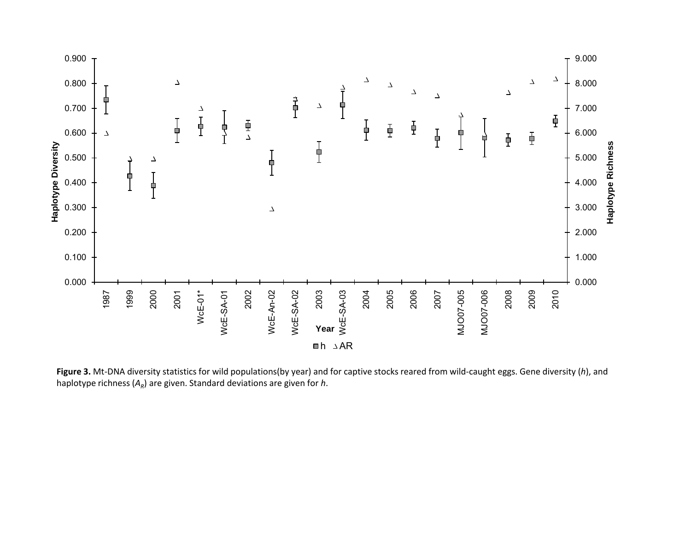

**Figure 3.** Mt-DNA diversity statistics for wild populations(by year) and for captive stocks reared from wild-caught eggs. Gene diversity (*h*), and haplotype richness  $(A_R)$  are given. Standard deviations are given for *h*.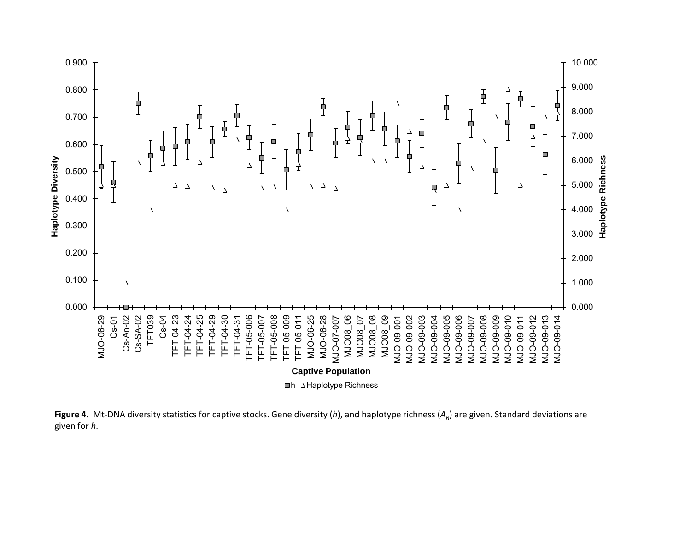

**Figure 4.** Mt-DNA diversity statistics for captive stocks. Gene diversity (*h*), and haplotype richness ( $A<sub>R</sub>$ ) are given. Standard deviations are given for *h*.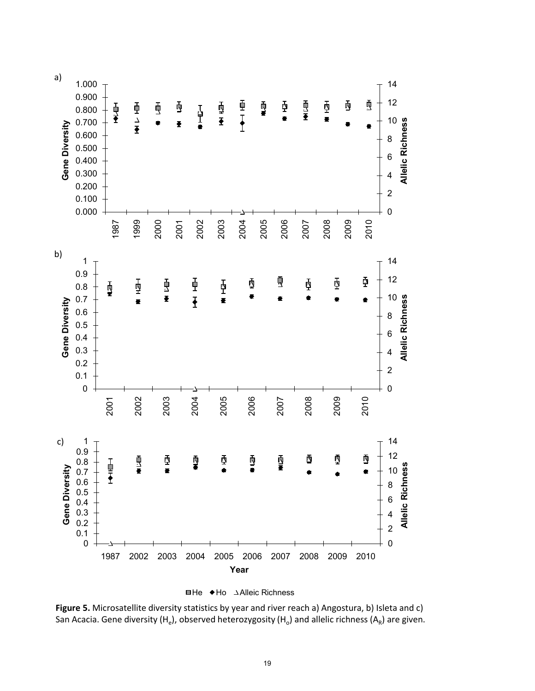



**Figure 5.** Microsatellite diversity statistics by year and river reach a) Angostura, b) Isleta and c) San Acacia. Gene diversity (H<sub>e</sub>), observed heterozygosity (H<sub>o</sub>) and allelic richness (A<sub>R</sub>) are given.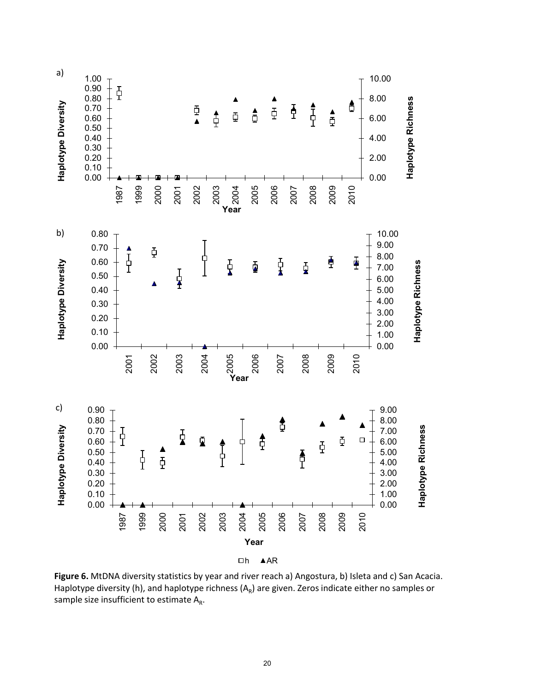

Figure 6. MtDNA diversity statistics by year and river reach a) Angostura, b) Isleta and c) San Acacia. Haplotype diversity (h), and haplotype richness  $(A_R)$  are given. Zeros indicate either no samples or sample size insufficient to estimate  $A_R$ .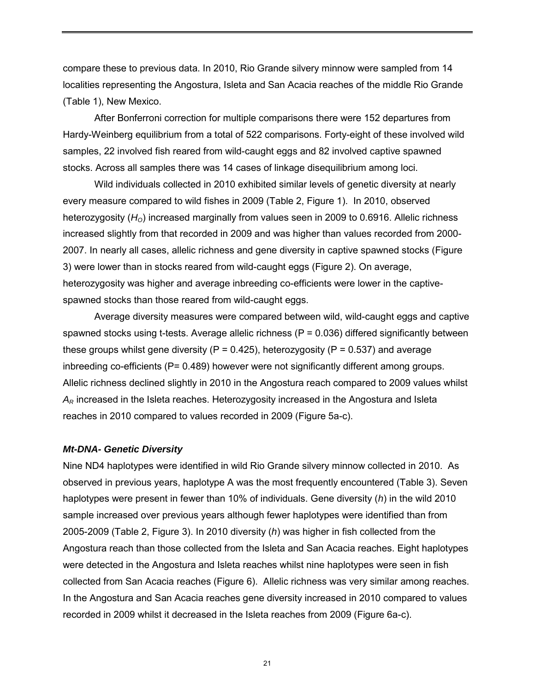compare these to previous data. In 2010, Rio Grande silvery minnow were sampled from 14 localities representing the Angostura, Isleta and San Acacia reaches of the middle Rio Grande (Table 1), New Mexico.

After Bonferroni correction for multiple comparisons there were 152 departures from Hardy-Weinberg equilibrium from a total of 522 comparisons. Forty-eight of these involved wild samples, 22 involved fish reared from wild-caught eggs and 82 involved captive spawned stocks. Across all samples there was 14 cases of linkage disequilibrium among loci.

Wild individuals collected in 2010 exhibited similar levels of genetic diversity at nearly every measure compared to wild fishes in 2009 (Table 2, Figure 1). In 2010, observed heterozygosity (H<sub>o</sub>) increased marginally from values seen in 2009 to 0.6916. Allelic richness increased slightly from that recorded in 2009 and was higher than values recorded from 2000- 2007. In nearly all cases, allelic richness and gene diversity in captive spawned stocks (Figure 3) were lower than in stocks reared from wild-caught eggs (Figure 2). On average, heterozygosity was higher and average inbreeding co-efficients were lower in the captivespawned stocks than those reared from wild-caught eggs.

Average diversity measures were compared between wild, wild-caught eggs and captive spawned stocks using t-tests. Average allelic richness ( $P = 0.036$ ) differed significantly between these groups whilst gene diversity ( $P = 0.425$ ), heterozygosity ( $P = 0.537$ ) and average inbreeding co-efficients (P= 0.489) however were not significantly different among groups. Allelic richness declined slightly in 2010 in the Angostura reach compared to 2009 values whilst *AR* increased in the Isleta reaches. Heterozygosity increased in the Angostura and Isleta reaches in 2010 compared to values recorded in 2009 (Figure 5a-c).

#### *Mt-DNA- Genetic Diversity*

Nine ND4 haplotypes were identified in wild Rio Grande silvery minnow collected in 2010. As observed in previous years, haplotype A was the most frequently encountered (Table 3). Seven haplotypes were present in fewer than 10% of individuals. Gene diversity (*h*) in the wild 2010 sample increased over previous years although fewer haplotypes were identified than from 2005-2009 (Table 2, Figure 3). In 2010 diversity (*h*) was higher in fish collected from the Angostura reach than those collected from the Isleta and San Acacia reaches. Eight haplotypes were detected in the Angostura and Isleta reaches whilst nine haplotypes were seen in fish collected from San Acacia reaches (Figure 6). Allelic richness was very similar among reaches. In the Angostura and San Acacia reaches gene diversity increased in 2010 compared to values recorded in 2009 whilst it decreased in the Isleta reaches from 2009 (Figure 6a-c).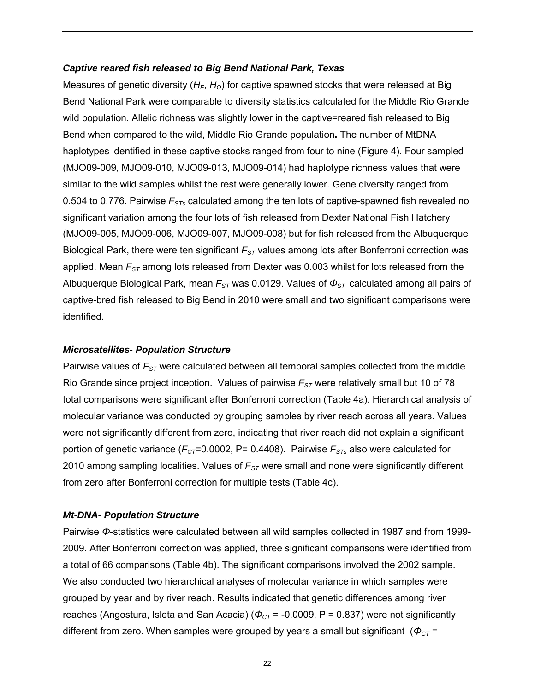## *Captive reared fish released to Big Bend National Park, Texas*

Measures of genetic diversity (H<sub>E</sub>, H<sub>O</sub>) for captive spawned stocks that were released at Big Bend National Park were comparable to diversity statistics calculated for the Middle Rio Grande wild population. Allelic richness was slightly lower in the captive=reared fish released to Big Bend when compared to the wild, Middle Rio Grande population**.** The number of MtDNA haplotypes identified in these captive stocks ranged from four to nine (Figure 4). Four sampled (MJO09-009, MJO09-010, MJO09-013, MJO09-014) had haplotype richness values that were similar to the wild samples whilst the rest were generally lower. Gene diversity ranged from 0.504 to 0.776. Pairwise  $F_{STs}$  calculated among the ten lots of captive-spawned fish revealed no significant variation among the four lots of fish released from Dexter National Fish Hatchery (MJO09-005, MJO09-006, MJO09-007, MJO09-008) but for fish released from the Albuquerque Biological Park, there were ten significant *F<sub>ST</sub>* values among lots after Bonferroni correction was applied. Mean  $F_{ST}$  among lots released from Dexter was 0.003 whilst for lots released from the Albuquerque Biological Park, mean *FST* was 0.0129. Values of *ΦST* calculated among all pairs of captive-bred fish released to Big Bend in 2010 were small and two significant comparisons were identified.

#### *Microsatellites- Population Structure*

Pairwise values of  $F_{ST}$  were calculated between all temporal samples collected from the middle Rio Grande since project inception. Values of pairwise  $F_{ST}$  were relatively small but 10 of 78 total comparisons were significant after Bonferroni correction (Table 4a). Hierarchical analysis of molecular variance was conducted by grouping samples by river reach across all years. Values were not significantly different from zero, indicating that river reach did not explain a significant portion of genetic variance ( $F_{CT}$ =0.0002, P= 0.4408). Pairwise  $F_{STs}$  also were calculated for 2010 among sampling localities. Values of  $F_{ST}$  were small and none were significantly different from zero after Bonferroni correction for multiple tests (Table 4c).

#### *Mt-DNA- Population Structure*

Pairwise *Φ*-statistics were calculated between all wild samples collected in 1987 and from 1999- 2009. After Bonferroni correction was applied, three significant comparisons were identified from a total of 66 comparisons (Table 4b). The significant comparisons involved the 2002 sample. We also conducted two hierarchical analyses of molecular variance in which samples were grouped by year and by river reach. Results indicated that genetic differences among river reaches (Angostura, Isleta and San Acacia) ( $\Phi_{CT}$  = -0.0009, P = 0.837) were not significantly different from zero. When samples were grouped by years a small but significant ( $Φ<sub>CT</sub>$  =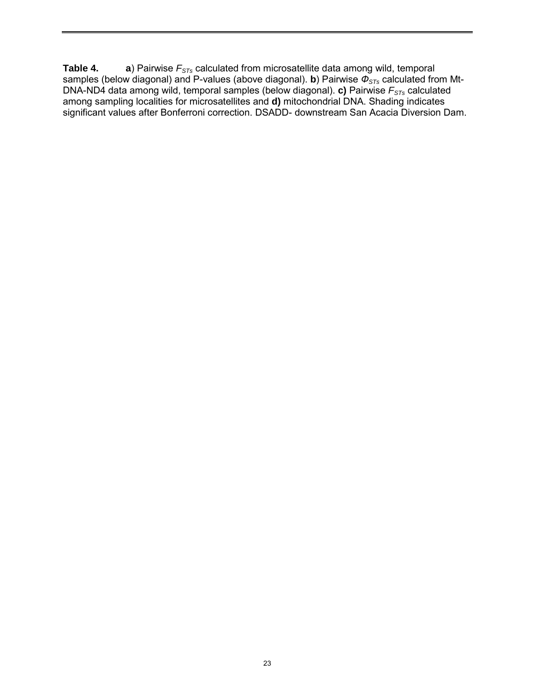**Table 4. a**) Pairwise  $F_{STs}$  calculated from microsatellite data among wild, temporal samples (below diagonal) and P-values (above diagonal). **b**) Pairwise *ФSTs* calculated from Mt-DNA-ND4 data among wild, temporal samples (below diagonal). **c)** Pairwise *FSTs* calculated among sampling localities for microsatellites and **d)** mitochondrial DNA. Shading indicates significant values after Bonferroni correction. DSADD- downstream San Acacia Diversion Dam.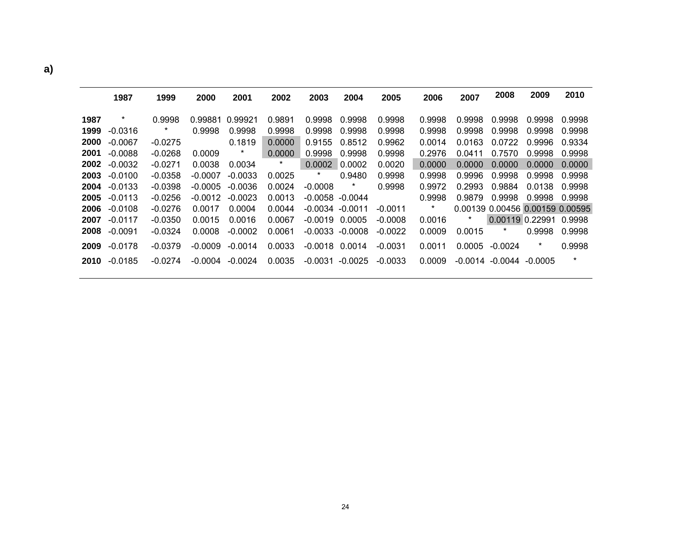|      | 1987      | 1999      | 2000      | 2001      | 2002    | 2003               | 2004                | 2005      | 2006    | 2007   | 2008                            | 2009   | 2010    |
|------|-----------|-----------|-----------|-----------|---------|--------------------|---------------------|-----------|---------|--------|---------------------------------|--------|---------|
| 1987 | $\star$   | 0.9998    | 0.99881   | 0.99921   | 0.9891  | 0.9998             | 0.9998              | 0.9998    | 0.9998  | 0.9998 | 0.9998                          | 0.9998 | 0.9998  |
| 1999 | $-0.0316$ | $\star$   | 0.9998    | 0.9998    | 0.9998  | 0.9998             | 0.9998              | 0.9998    | 0.9998  | 0.9998 | 0.9998                          | 0.9998 | 0.9998  |
| 2000 | $-0.0067$ | $-0.0275$ |           | 0.1819    | 0.0000  | 0.9155             | 0.8512              | 0.9962    | 0.0014  | 0.0163 | 0.0722                          | 0.9996 | 0.9334  |
| 2001 | $-0.0088$ | $-0.0268$ | 0.0009    | *         | 0.0000  | 0.9998             | 0.9998              | 0.9998    | 0.2976  | 0.0411 | 0.7570                          | 0.9998 | 0.9998  |
| 2002 | $-0.0032$ | $-0.0271$ | 0.0038    | 0.0034    | $\star$ | 0.0002             | 0.0002              | 0.0020    | 0.0000  | 0.0000 | 0.0000                          | 0.0000 | 0.0000  |
| 2003 | $-0.0100$ | $-0.0358$ | $-0.0007$ | $-0.0033$ | 0.0025  | *                  | 0.9480              | 0.9998    | 0.9998  | 0.9996 | 0.9998                          | 0.9998 | 0.9998  |
| 2004 | $-0.0133$ | $-0.0398$ | $-0.0005$ | $-0.0036$ | 0.0024  | $-0.0008$          | $\ast$              | 0.9998    | 0.9972  | 0.2993 | 0.9884                          | 0.0138 | 0.9998  |
| 2005 | $-0.0113$ | $-0.0256$ | $-0.0012$ | $-0.0023$ | 0.0013  |                    | $-0.0058$ $-0.0044$ |           | 0.9998  | 0.9879 | 0.9998                          | 0.9998 | 0.9998  |
| 2006 | $-0.0108$ | $-0.0276$ | 0.0017    | 0.0004    | 0.0044  | $-0.0034 - 0.0011$ |                     | $-0.0011$ | $\star$ |        | 0.00139 0.00456 0.00159 0.00595 |        |         |
| 2007 | $-0.0117$ | $-0.0350$ | 0.0015    | 0.0016    | 0.0067  | $-0.0019$          | 0.0005              | $-0.0008$ | 0.0016  | *      | 0.00119 0.22991                 |        | 0.9998  |
| 2008 | $-0.0091$ | $-0.0324$ | 0.0008    | $-0.0002$ | 0.0061  |                    | $-0.0033 - 0.0008$  | $-0.0022$ | 0.0009  | 0.0015 | $\star$                         | 0.9998 | 0.9998  |
| 2009 | $-0.0178$ | $-0.0379$ | $-0.0009$ | $-0.0014$ | 0.0033  | $-0.0018$          | 0.0014              | $-0.0031$ | 0.0011  | 0.0005 | $-0.0024$                       | $\ast$ | 0.9998  |
| 2010 | $-0.0185$ | $-0.0274$ | -0.0004   | -0.0024   | 0.0035  |                    | $-0.0031 - 0.0025$  | $-0.0033$ | 0.0009  |        | $-0.0014$ $-0.0044$ $-0.0005$   |        | $\star$ |

**a)**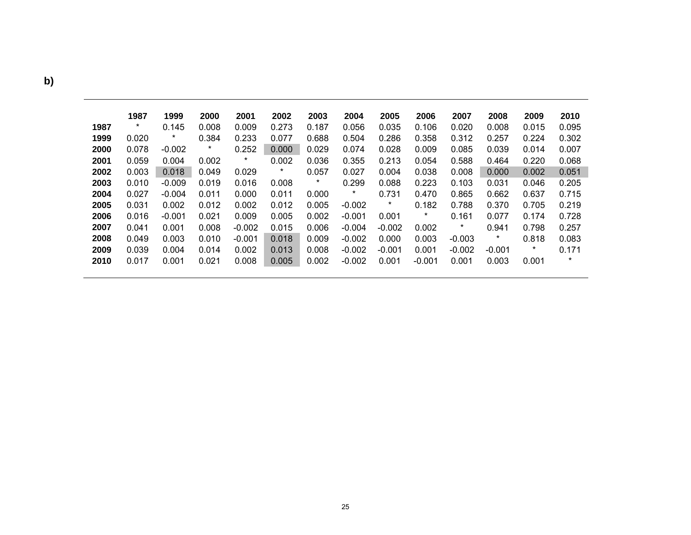|      | 1987   | 1999     | 2000    | 2001     | 2002   | 2003    | 2004     | 2005     | 2006     | 2007     | 2008     | 2009    | 2010    |
|------|--------|----------|---------|----------|--------|---------|----------|----------|----------|----------|----------|---------|---------|
| 1987 | $\ast$ | 0.145    | 0.008   | 0.009    | 0.273  | 0.187   | 0.056    | 0.035    | 0.106    | 0.020    | 0.008    | 0.015   | 0.095   |
| 1999 | 0.020  | *        | 0.384   | 0.233    | 0.077  | 0.688   | 0.504    | 0.286    | 0.358    | 0.312    | 0.257    | 0.224   | 0.302   |
| 2000 | 0.078  | $-0.002$ | $\star$ | 0.252    | 0.000  | 0.029   | 0.074    | 0.028    | 0.009    | 0.085    | 0.039    | 0.014   | 0.007   |
| 2001 | 0.059  | 0.004    | 0.002   | $\star$  | 0.002  | 0.036   | 0.355    | 0.213    | 0.054    | 0.588    | 0.464    | 0.220   | 0.068   |
| 2002 | 0.003  | 0.018    | 0.049   | 0.029    | $\ast$ | 0.057   | 0.027    | 0.004    | 0.038    | 0.008    | 0.000    | 0.002   | 0.051   |
| 2003 | 0.010  | $-0.009$ | 0.019   | 0.016    | 0.008  | $\star$ | 0.299    | 0.088    | 0.223    | 0.103    | 0.031    | 0.046   | 0.205   |
| 2004 | 0.027  | $-0.004$ | 0.011   | 0.000    | 0.011  | 0.000   | $\star$  | 0.731    | 0.470    | 0.865    | 0.662    | 0.637   | 0.715   |
| 2005 | 0.031  | 0.002    | 0.012   | 0.002    | 0.012  | 0.005   | $-0.002$ | *        | 0.182    | 0.788    | 0.370    | 0.705   | 0.219   |
| 2006 | 0.016  | $-0.001$ | 0.021   | 0.009    | 0.005  | 0.002   | $-0.001$ | 0.001    | $\ast$   | 0.161    | 0.077    | 0.174   | 0.728   |
| 2007 | 0.041  | 0.001    | 0.008   | $-0.002$ | 0.015  | 0.006   | $-0.004$ | $-0.002$ | 0.002    | $\star$  | 0.941    | 0.798   | 0.257   |
| 2008 | 0.049  | 0.003    | 0.010   | $-0.001$ | 0.018  | 0.009   | $-0.002$ | 0.000    | 0.003    | $-0.003$ | $\star$  | 0.818   | 0.083   |
| 2009 | 0.039  | 0.004    | 0.014   | 0.002    | 0.013  | 0.008   | $-0.002$ | $-0.001$ | 0.001    | $-0.002$ | $-0.001$ | $\star$ | 0.171   |
| 2010 | 0.017  | 0.001    | 0.021   | 0.008    | 0.005  | 0.002   | $-0.002$ | 0.001    | $-0.001$ | 0.001    | 0.003    | 0.001   | $\star$ |

**b)**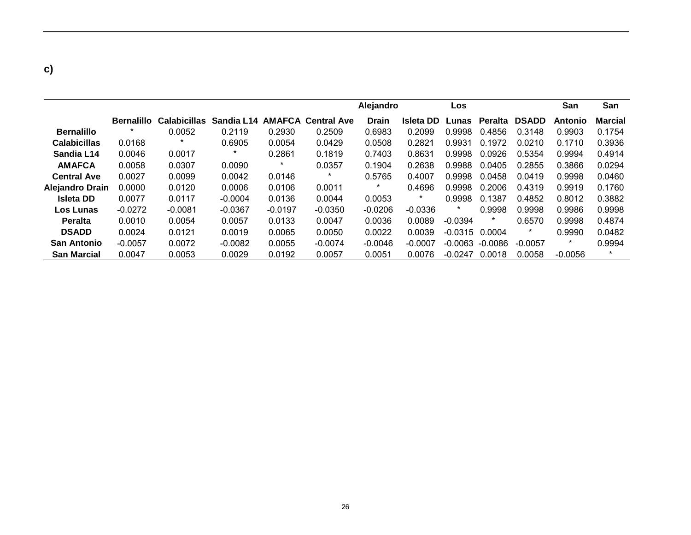| ۰<br>۰            |  |
|-------------------|--|
| ×<br>I<br>×<br>۰. |  |

|                        |                   |                     |            |           |                           | Alejandro    |                  | Los       |                |              | San       | San            |
|------------------------|-------------------|---------------------|------------|-----------|---------------------------|--------------|------------------|-----------|----------------|--------------|-----------|----------------|
|                        | <b>Bernalillo</b> | <b>Calabicillas</b> | Sandia L14 |           | <b>AMAFCA Central Ave</b> | <b>Drain</b> | <b>Isleta DD</b> | Lunas     | <b>Peralta</b> | <b>DSADD</b> | Antonio   | <b>Marcial</b> |
| <b>Bernalillo</b>      |                   | 0.0052              | 0.2119     | 0.2930    | 0.2509                    | 0.6983       | 0.2099           | 0.9998    | 0.4856         | 0.3148       | 0.9903    | 0.1754         |
| <b>Calabicillas</b>    | 0.0168            |                     | 0.6905     | 0.0054    | 0.0429                    | 0.0508       | 0.2821           | 0.9931    | 0.1972         | 0.0210       | 0.1710    | 0.3936         |
| Sandia L14             | 0.0046            | 0.0017              | *          | 0.2861    | 0.1819                    | 0.7403       | 0.8631           | 0.9998    | 0.0926         | 0.5354       | 0.9994    | 0.4914         |
| <b>AMAFCA</b>          | 0.0058            | 0.0307              | 0.0090     | $\ast$    | 0.0357                    | 0.1904       | 0.2638           | 0.9988    | 0.0405         | 0.2855       | 0.3866    | 0.0294         |
| <b>Central Ave</b>     | 0.0027            | 0.0099              | 0.0042     | 0.0146    | $^\star$                  | 0.5765       | 0.4007           | 0.9998    | 0.0458         | 0.0419       | 0.9998    | 0.0460         |
| <b>Alejandro Drain</b> | 0.0000            | 0.0120              | 0.0006     | 0.0106    | 0.0011                    | $\ast$       | 0.4696           | 0.9998    | 0.2006         | 0.4319       | 0.9919    | 0.1760         |
| <b>Isleta DD</b>       | 0.0077            | 0.0117              | $-0.0004$  | 0.0136    | 0.0044                    | 0.0053       | $\ast$           | 0.9998    | 0.1387         | 0.4852       | 0.8012    | 0.3882         |
| Los Lunas              | $-0.0272$         | $-0.0081$           | $-0.0367$  | $-0.0197$ | $-0.0350$                 | $-0.0206$    | $-0.0336$        | $\star$   | 0.9998         | 0.9998       | 0.9986    | 0.9998         |
| <b>Peralta</b>         | 0.0010            | 0.0054              | 0.0057     | 0.0133    | 0.0047                    | 0.0036       | 0.0089           | $-0.0394$ | $\star$        | 0.6570       | 0.9998    | 0.4874         |
| <b>DSADD</b>           | 0.0024            | 0.0121              | 0.0019     | 0.0065    | 0.0050                    | 0.0022       | 0.0039           | $-0.0315$ | 0.0004         | $\ast$       | 0.9990    | 0.0482         |
| <b>San Antonio</b>     | $-0.0057$         | 0.0072              | $-0.0082$  | 0.0055    | $-0.0074$                 | $-0.0046$    | $-0.0007$        | $-0.0063$ | -0.0086        | $-0.0057$    | $\star$   | 0.9994         |
| <b>San Marcial</b>     | 0.0047            | 0.0053              | 0.0029     | 0.0192    | 0.0057                    | 0.0051       | 0.0076           | $-0.0247$ | 0.0018         | 0.0058       | $-0.0056$ | $\ast$         |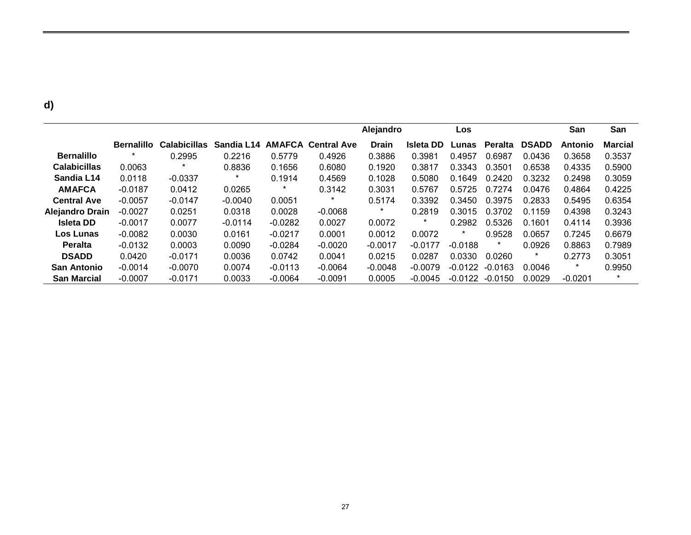|                        |                   |                     |            |               |                    | Alejandro    |                  | Los       |           |              | San       | San            |
|------------------------|-------------------|---------------------|------------|---------------|--------------------|--------------|------------------|-----------|-----------|--------------|-----------|----------------|
|                        | <b>Bernalillo</b> | <b>Calabicillas</b> | Sandia L14 | <b>AMAFCA</b> | <b>Central Ave</b> | <b>Drain</b> | <b>Isleta DD</b> | Lunas     | Peralta   | <b>DSADD</b> | Antonio   | <b>Marcial</b> |
| <b>Bernalillo</b>      |                   | 0.2995              | 0.2216     | 0.5779        | 0.4926             | 0.3886       | 0.3981           | 0.4957    | 0.6987    | 0.0436       | 0.3658    | 0.3537         |
| <b>Calabicillas</b>    | 0.0063            |                     | 0.8836     | 0.1656        | 0.6080             | 0.1920       | 0.3817           | 0.3343    | 0.3501    | 0.6538       | 0.4335    | 0.5900         |
| Sandia L14             | 0.0118            | $-0.0337$           | $\ast$     | 0.1914        | 0.4569             | 0.1028       | 0.5080           | 0.1649    | 0.2420    | 0.3232       | 0.2498    | 0.3059         |
| <b>AMAFCA</b>          | $-0.0187$         | 0.0412              | 0.0265     | $\star$       | 0.3142             | 0.3031       | 0.5767           | 0.5725    | 0.7274    | 0.0476       | 0.4864    | 0.4225         |
| <b>Central Ave</b>     | $-0.0057$         | $-0.0147$           | $-0.0040$  | 0.0051        | *                  | 0.5174       | 0.3392           | 0.3450    | 0.3975    | 0.2833       | 0.5495    | 0.6354         |
| <b>Alejandro Drain</b> | $-0.0027$         | 0.0251              | 0.0318     | 0.0028        | $-0.0068$          | $\star$      | 0.2819           | 0.3015    | 0.3702    | 0.1159       | 0.4398    | 0.3243         |
| <b>Isleta DD</b>       | $-0.0017$         | 0.0077              | $-0.0114$  | $-0.0282$     | 0.0027             | 0.0072       | $\ast$           | 0.2982    | 0.5326    | 0.1601       | 0.4114    | 0.3936         |
| Los Lunas              | $-0.0082$         | 0.0030              | 0.0161     | $-0.0217$     | 0.0001             | 0.0012       | 0.0072           | $\star$   | 0.9528    | 0.0657       | 0.7245    | 0.6679         |
| <b>Peralta</b>         | $-0.0132$         | 0.0003              | 0.0090     | $-0.0284$     | $-0.0020$          | $-0.0017$    | $-0.0177$        | $-0.0188$ | $\ast$    | 0.0926       | 0.8863    | 0.7989         |
| <b>DSADD</b>           | 0.0420            | $-0.0171$           | 0.0036     | 0.0742        | 0.0041             | 0.0215       | 0.0287           | 0.0330    | 0.0260    | *            | 0.2773    | 0.3051         |
| <b>San Antonio</b>     | $-0.0014$         | $-0.0070$           | 0.0074     | $-0.0113$     | $-0.0064$          | $-0.0048$    | $-0.0079$        | $-0.0122$ | $-0.0163$ | 0.0046       | $\star$   | 0.9950         |
| <b>San Marcial</b>     | $-0.0007$         | $-0.0171$           | 0.0033     | $-0.0064$     | $-0.0091$          | 0.0005       | $-0.0045$        | $-0.0122$ | $-0.0150$ | 0.0029       | $-0.0201$ | $\star$        |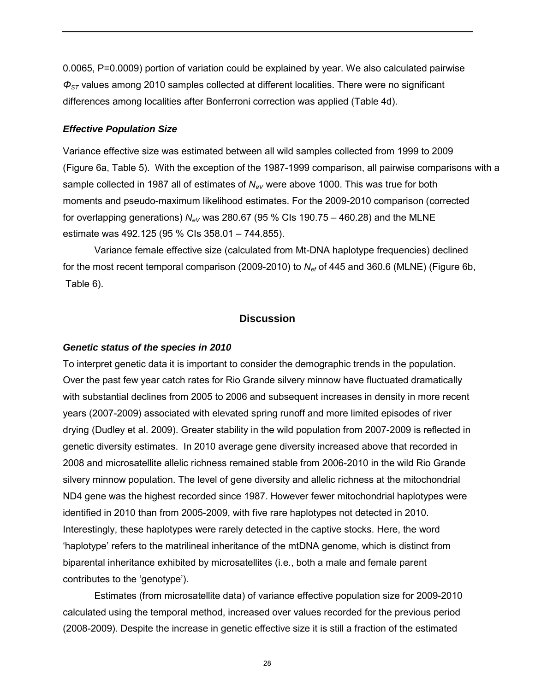0.0065, P=0.0009) portion of variation could be explained by year. We also calculated pairwise *ΦST* values among 2010 samples collected at different localities. There were no significant differences among localities after Bonferroni correction was applied (Table 4d).

#### *Effective Population Size*

Variance effective size was estimated between all wild samples collected from 1999 to 2009 (Figure 6a, Table 5). With the exception of the 1987-1999 comparison, all pairwise comparisons with a sample collected in 1987 all of estimates of  $N_{eV}$  were above 1000. This was true for both moments and pseudo-maximum likelihood estimates. For the 2009-2010 comparison (corrected for overlapping generations)  $N_{eV}$  was 280.67 (95 % CIs 190.75 – 460.28) and the MLNE estimate was 492.125 (95 % CIs 358.01 – 744.855).

Variance female effective size (calculated from Mt-DNA haplotype frequencies) declined for the most recent temporal comparison (2009-2010) to *Nef* of 445 and 360.6 (MLNE) (Figure 6b, Table 6).

## **Discussion**

#### *Genetic status of the species in 2010*

To interpret genetic data it is important to consider the demographic trends in the population. Over the past few year catch rates for Rio Grande silvery minnow have fluctuated dramatically with substantial declines from 2005 to 2006 and subsequent increases in density in more recent years (2007-2009) associated with elevated spring runoff and more limited episodes of river drying (Dudley et al. 2009). Greater stability in the wild population from 2007-2009 is reflected in genetic diversity estimates. In 2010 average gene diversity increased above that recorded in 2008 and microsatellite allelic richness remained stable from 2006-2010 in the wild Rio Grande silvery minnow population. The level of gene diversity and allelic richness at the mitochondrial ND4 gene was the highest recorded since 1987. However fewer mitochondrial haplotypes were identified in 2010 than from 2005-2009, with five rare haplotypes not detected in 2010. Interestingly, these haplotypes were rarely detected in the captive stocks. Here, the word 'haplotype' refers to the matrilineal inheritance of the mtDNA genome, which is distinct from biparental inheritance exhibited by microsatellites (i.e., both a male and female parent contributes to the 'genotype').

 Estimates (from microsatellite data) of variance effective population size for 2009-2010 calculated using the temporal method, increased over values recorded for the previous period (2008-2009). Despite the increase in genetic effective size it is still a fraction of the estimated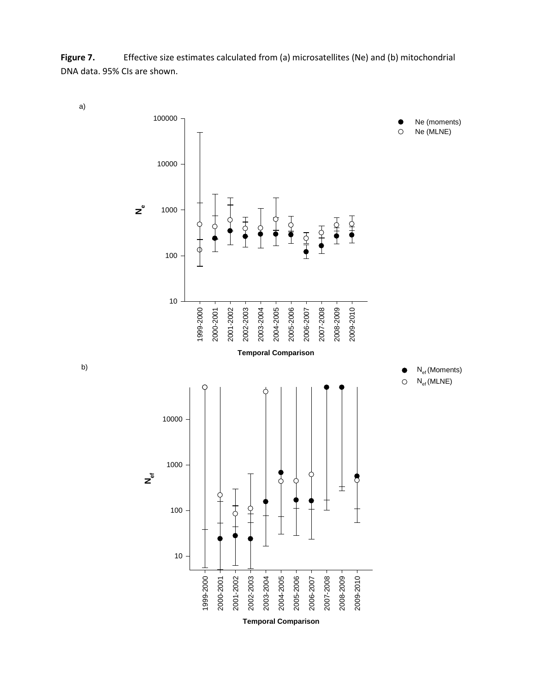Figure 7. **Effective size estimates calculated from (a) microsatellites (Ne) and (b) mitochondrial** DNA data. 95% CIs are shown.



b)

a)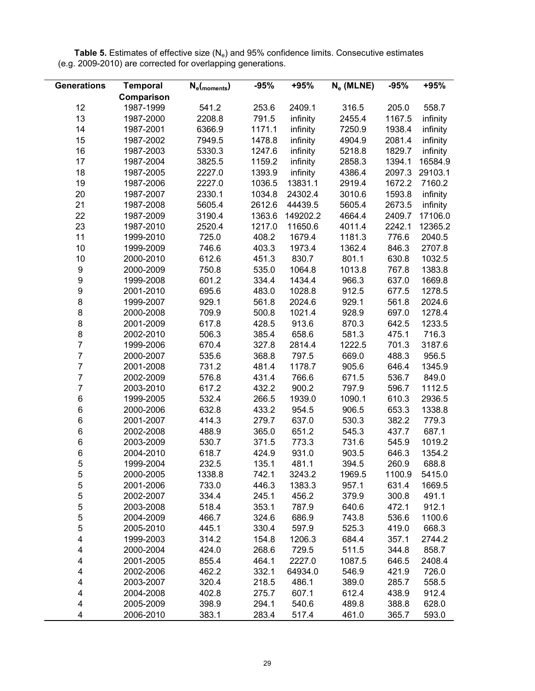| <b>Generations</b> | <b>Temporal</b> | $N_e$ (moments) | $-95%$ | +95%     | $N_e$ (MLNE) | $-95%$ | +95%     |
|--------------------|-----------------|-----------------|--------|----------|--------------|--------|----------|
|                    | Comparison      |                 |        |          |              |        |          |
| 12                 | 1987-1999       | 541.2           | 253.6  | 2409.1   | 316.5        | 205.0  | 558.7    |
| 13                 | 1987-2000       | 2208.8          | 791.5  | infinity | 2455.4       | 1167.5 | infinity |
| 14                 | 1987-2001       | 6366.9          | 1171.1 | infinity | 7250.9       | 1938.4 | infinity |
| 15                 | 1987-2002       | 7949.5          | 1478.8 | infinity | 4904.9       | 2081.4 | infinity |
| 16                 | 1987-2003       | 5330.3          | 1247.6 | infinity | 5218.8       | 1829.7 | infinity |
| 17                 | 1987-2004       | 3825.5          | 1159.2 | infinity | 2858.3       | 1394.1 | 16584.9  |
| 18                 | 1987-2005       | 2227.0          | 1393.9 | infinity | 4386.4       | 2097.3 | 29103.1  |
| 19                 | 1987-2006       | 2227.0          | 1036.5 | 13831.1  | 2919.4       | 1672.2 | 7160.2   |
| 20                 | 1987-2007       | 2330.1          | 1034.8 | 24302.4  | 3010.6       | 1593.8 | infinity |
| 21                 | 1987-2008       | 5605.4          | 2612.6 | 44439.5  | 5605.4       | 2673.5 | infinity |
| 22                 | 1987-2009       | 3190.4          | 1363.6 | 149202.2 | 4664.4       | 2409.7 | 17106.0  |
| 23                 | 1987-2010       | 2520.4          | 1217.0 | 11650.6  | 4011.4       | 2242.1 | 12365.2  |
| 11                 | 1999-2010       | 725.0           | 408.2  | 1679.4   | 1181.3       | 776.6  | 2040.5   |
| 10                 | 1999-2009       | 746.6           | 403.3  | 1973.4   | 1362.4       | 846.3  | 2707.8   |
| 10                 | 2000-2010       | 612.6           | 451.3  | 830.7    | 801.1        | 630.8  | 1032.5   |
| 9                  | 2000-2009       | 750.8           | 535.0  | 1064.8   | 1013.8       | 767.8  | 1383.8   |
| 9                  | 1999-2008       | 601.2           | 334.4  | 1434.4   | 966.3        | 637.0  | 1669.8   |
| 9                  | 2001-2010       | 695.6           | 483.0  | 1028.8   | 912.5        | 677.5  | 1278.5   |
| 8                  | 1999-2007       | 929.1           | 561.8  | 2024.6   | 929.1        | 561.8  | 2024.6   |
| 8                  | 2000-2008       | 709.9           | 500.8  | 1021.4   | 928.9        | 697.0  | 1278.4   |
| 8                  | 2001-2009       | 617.8           | 428.5  | 913.6    | 870.3        | 642.5  | 1233.5   |
| 8                  | 2002-2010       | 506.3           | 385.4  | 658.6    | 581.3        | 475.1  | 716.3    |
| $\overline{7}$     | 1999-2006       | 670.4           | 327.8  | 2814.4   | 1222.5       | 701.3  | 3187.6   |
| $\overline{7}$     | 2000-2007       | 535.6           | 368.8  | 797.5    | 669.0        | 488.3  | 956.5    |
| $\overline{7}$     | 2001-2008       | 731.2           | 481.4  | 1178.7   | 905.6        | 646.4  | 1345.9   |
| $\overline{7}$     | 2002-2009       | 576.8           | 431.4  | 766.6    | 671.5        | 536.7  | 849.0    |
| $\overline{7}$     | 2003-2010       | 617.2           | 432.2  | 900.2    | 797.9        | 596.7  | 1112.5   |
| 6                  | 1999-2005       | 532.4           | 266.5  | 1939.0   | 1090.1       | 610.3  | 2936.5   |
| 6                  | 2000-2006       | 632.8           | 433.2  | 954.5    | 906.5        | 653.3  | 1338.8   |
| 6                  | 2001-2007       | 414.3           | 279.7  | 637.0    | 530.3        | 382.2  | 779.3    |
| 6                  | 2002-2008       | 488.9           | 365.0  | 651.2    | 545.3        | 437.7  | 687.1    |
| 6                  | 2003-2009       | 530.7           | 371.5  | 773.3    | 731.6        | 545.9  | 1019.2   |
| 6                  | 2004-2010       | 618.7           | 424.9  | 931.0    | 903.5        | 646.3  | 1354.2   |
| 5                  | 1999-2004       | 232.5           | 135.1  | 481.1    | 394.5        | 260.9  | 688.8    |
| 5                  | 2000-2005       | 1338.8          | 742.1  | 3243.2   | 1969.5       | 1100.9 | 5415.0   |
| 5                  | 2001-2006       | 733.0           | 446.3  | 1383.3   | 957.1        | 631.4  | 1669.5   |
| 5                  | 2002-2007       | 334.4           | 245.1  | 456.2    | 379.9        | 300.8  | 491.1    |
| 5                  | 2003-2008       | 518.4           | 353.1  | 787.9    | 640.6        | 472.1  | 912.1    |
| 5                  | 2004-2009       | 466.7           | 324.6  | 686.9    | 743.8        | 536.6  | 1100.6   |
| 5                  | 2005-2010       | 445.1           | 330.4  | 597.9    | 525.3        | 419.0  | 668.3    |
| 4                  | 1999-2003       | 314.2           | 154.8  | 1206.3   | 684.4        | 357.1  | 2744.2   |
| 4                  | 2000-2004       | 424.0           | 268.6  | 729.5    | 511.5        | 344.8  | 858.7    |
| 4                  | 2001-2005       | 855.4           | 464.1  | 2227.0   | 1087.5       | 646.5  | 2408.4   |
| 4                  | 2002-2006       | 462.2           | 332.1  | 64934.0  | 546.9        | 421.9  | 726.0    |
| 4                  | 2003-2007       | 320.4           | 218.5  | 486.1    | 389.0        | 285.7  | 558.5    |
| 4                  | 2004-2008       | 402.8           | 275.7  | 607.1    | 612.4        | 438.9  | 912.4    |
| 4                  | 2005-2009       | 398.9           | 294.1  | 540.6    | 489.8        | 388.8  | 628.0    |
| 4                  | 2006-2010       | 383.1           | 283.4  | 517.4    | 461.0        | 365.7  | 593.0    |

Table 5. Estimates of effective size (N<sub>e</sub>) and 95% confidence limits. Consecutive estimates (e.g. 2009-2010) are corrected for overlapping generations.

<u>.</u>

eri<br>Heriotzak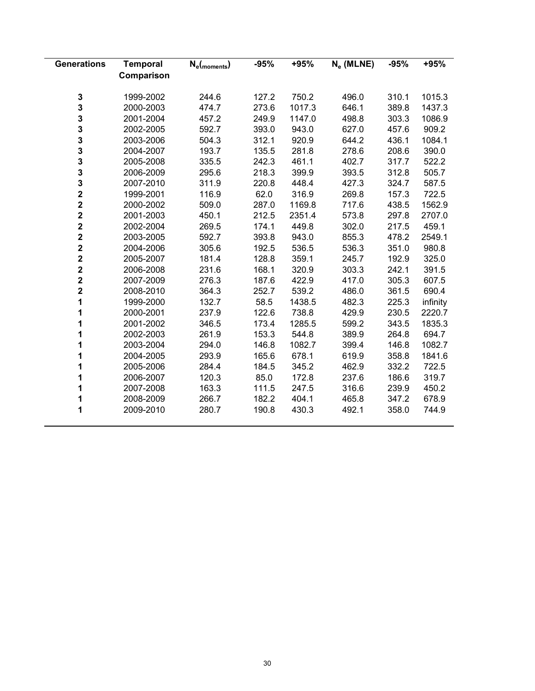| <b>Generations</b>      | <b>Temporal</b> | $N_e$ (moments) | $-95%$ | +95%   | $N_e$ (MLNE) | $-95%$ | +95%     |
|-------------------------|-----------------|-----------------|--------|--------|--------------|--------|----------|
|                         | Comparison      |                 |        |        |              |        |          |
| 3                       | 1999-2002       | 244.6           | 127.2  | 750.2  | 496.0        | 310.1  | 1015.3   |
| 3                       | 2000-2003       | 474.7           | 273.6  | 1017.3 | 646.1        | 389.8  | 1437.3   |
| 3                       | 2001-2004       | 457.2           | 249.9  | 1147.0 | 498.8        | 303.3  | 1086.9   |
| 3                       | 2002-2005       | 592.7           | 393.0  | 943.0  | 627.0        | 457.6  | 909.2    |
| 3                       | 2003-2006       | 504.3           | 312.1  | 920.9  | 644.2        | 436.1  | 1084.1   |
| 3                       | 2004-2007       | 193.7           | 135.5  | 281.8  | 278.6        | 208.6  | 390.0    |
| 3                       | 2005-2008       | 335.5           | 242.3  | 461.1  | 402.7        | 317.7  | 522.2    |
| 3                       | 2006-2009       | 295.6           | 218.3  | 399.9  | 393.5        | 312.8  | 505.7    |
| $\frac{3}{2}$           | 2007-2010       | 311.9           | 220.8  | 448.4  | 427.3        | 324.7  | 587.5    |
|                         | 1999-2001       | 116.9           | 62.0   | 316.9  | 269.8        | 157.3  | 722.5    |
| $\overline{\mathbf{2}}$ | 2000-2002       | 509.0           | 287.0  | 1169.8 | 717.6        | 438.5  | 1562.9   |
| $\overline{\mathbf{2}}$ | 2001-2003       | 450.1           | 212.5  | 2351.4 | 573.8        | 297.8  | 2707.0   |
| $\overline{\mathbf{2}}$ | 2002-2004       | 269.5           | 174.1  | 449.8  | 302.0        | 217.5  | 459.1    |
| $\overline{\mathbf{2}}$ | 2003-2005       | 592.7           | 393.8  | 943.0  | 855.3        | 478.2  | 2549.1   |
| $\mathbf 2$             | 2004-2006       | 305.6           | 192.5  | 536.5  | 536.3        | 351.0  | 980.8    |
| $\mathbf 2$             | 2005-2007       | 181.4           | 128.8  | 359.1  | 245.7        | 192.9  | 325.0    |
| $\overline{\mathbf{2}}$ | 2006-2008       | 231.6           | 168.1  | 320.9  | 303.3        | 242.1  | 391.5    |
| $\overline{\mathbf{2}}$ | 2007-2009       | 276.3           | 187.6  | 422.9  | 417.0        | 305.3  | 607.5    |
| $\overline{\mathbf{2}}$ | 2008-2010       | 364.3           | 252.7  | 539.2  | 486.0        | 361.5  | 690.4    |
| 1                       | 1999-2000       | 132.7           | 58.5   | 1438.5 | 482.3        | 225.3  | infinity |
| 1                       | 2000-2001       | 237.9           | 122.6  | 738.8  | 429.9        | 230.5  | 2220.7   |
| 1                       | 2001-2002       | 346.5           | 173.4  | 1285.5 | 599.2        | 343.5  | 1835.3   |
| 1                       | 2002-2003       | 261.9           | 153.3  | 544.8  | 389.9        | 264.8  | 694.7    |
| 1                       | 2003-2004       | 294.0           | 146.8  | 1082.7 | 399.4        | 146.8  | 1082.7   |
| 1                       | 2004-2005       | 293.9           | 165.6  | 678.1  | 619.9        | 358.8  | 1841.6   |
| 1                       | 2005-2006       | 284.4           | 184.5  | 345.2  | 462.9        | 332.2  | 722.5    |
| 1                       | 2006-2007       | 120.3           | 85.0   | 172.8  | 237.6        | 186.6  | 319.7    |
| 1                       | 2007-2008       | 163.3           | 111.5  | 247.5  | 316.6        | 239.9  | 450.2    |
| 1                       | 2008-2009       | 266.7           | 182.2  | 404.1  | 465.8        | 347.2  | 678.9    |
| 1                       | 2009-2010       | 280.7           | 190.8  | 430.3  | 492.1        | 358.0  | 744.9    |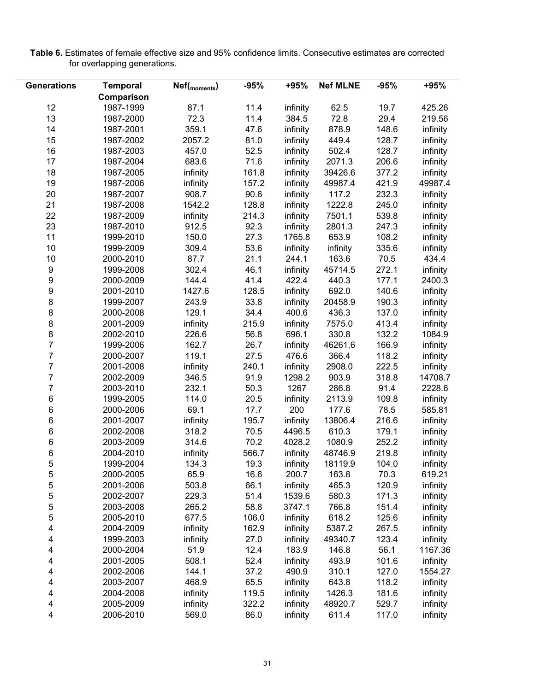| <b>Table 6.</b> Estimates of female effective size and 95% confidence limits. Consecutive estimates are corrected |  |  |
|-------------------------------------------------------------------------------------------------------------------|--|--|
| for overlapping generations.                                                                                      |  |  |

| <b>Generations</b> | <b>Temporal</b> | Nef( <sub>moments</sub> ) | $-95%$ | +95%               | <b>Nef MLNE</b> | $-95%$ | +95%     |
|--------------------|-----------------|---------------------------|--------|--------------------|-----------------|--------|----------|
|                    | Comparison      |                           |        |                    |                 |        |          |
| 12                 | 1987-1999       | 87.1                      | 11.4   | infinity           | 62.5            | 19.7   | 425.26   |
| 13                 | 1987-2000       | 72.3                      | 11.4   | 384.5              | 72.8            | 29.4   | 219.56   |
| 14                 | 1987-2001       | 359.1                     | 47.6   | infinity           | 878.9           | 148.6  | infinity |
| 15                 | 1987-2002       | 2057.2                    | 81.0   | infinity           | 449.4           | 128.7  | infinity |
| 16                 | 1987-2003       | 457.0                     | 52.5   | infinity           | 502.4           | 128.7  | infinity |
| 17                 | 1987-2004       | 683.6                     | 71.6   | infinity           | 2071.3          | 206.6  | infinity |
| 18                 | 1987-2005       | infinity                  | 161.8  | infinity           | 39426.6         | 377.2  | infinity |
| 19                 | 1987-2006       | infinity                  | 157.2  | infinity           | 49987.4         | 421.9  | 49987.4  |
| 20                 | 1987-2007       | 908.7                     | 90.6   | infinity           | 117.2           | 232.3  | infinity |
| 21                 | 1987-2008       | 1542.2                    | 128.8  | infinity           | 1222.8          | 245.0  | infinity |
| 22                 | 1987-2009       | infinity                  | 214.3  | infinity           | 7501.1          | 539.8  | infinity |
| 23                 |                 |                           | 92.3   |                    | 2801.3          | 247.3  |          |
| 11                 | 1987-2010       | 912.5                     | 27.3   | infinity<br>1765.8 | 653.9           | 108.2  | infinity |
|                    | 1999-2010       | 150.0                     |        |                    |                 |        | infinity |
| 10                 | 1999-2009       | 309.4                     | 53.6   | infinity           | infinity        | 335.6  | infinity |
| 10                 | 2000-2010       | 87.7                      | 21.1   | 244.1              | 163.6           | 70.5   | 434.4    |
| $\boldsymbol{9}$   | 1999-2008       | 302.4                     | 46.1   | infinity           | 45714.5         | 272.1  | infinity |
| 9                  | 2000-2009       | 144.4                     | 41.4   | 422.4              | 440.3           | 177.1  | 2400.3   |
| 9                  | 2001-2010       | 1427.6                    | 128.5  | infinity           | 692.0           | 140.6  | infinity |
| 8                  | 1999-2007       | 243.9                     | 33.8   | infinity           | 20458.9         | 190.3  | infinity |
| 8                  | 2000-2008       | 129.1                     | 34.4   | 400.6              | 436.3           | 137.0  | infinity |
| 8                  | 2001-2009       | infinity                  | 215.9  | infinity           | 7575.0          | 413.4  | infinity |
| 8                  | 2002-2010       | 226.6                     | 56.8   | 696.1              | 330.8           | 132.2  | 1084.9   |
| $\overline{7}$     | 1999-2006       | 162.7                     | 26.7   | infinity           | 46261.6         | 166.9  | infinity |
| $\overline{7}$     | 2000-2007       | 119.1                     | 27.5   | 476.6              | 366.4           | 118.2  | infinity |
| $\overline{7}$     | 2001-2008       | infinity                  | 240.1  | infinity           | 2908.0          | 222.5  | infinity |
| $\overline{7}$     | 2002-2009       | 346.5                     | 91.9   | 1298.2             | 903.9           | 318.8  | 14708.7  |
| $\overline{7}$     | 2003-2010       | 232.1                     | 50.3   | 1267               | 286.8           | 91.4   | 2228.6   |
| 6                  | 1999-2005       | 114.0                     | 20.5   | infinity           | 2113.9          | 109.8  | infinity |
| 6                  | 2000-2006       | 69.1                      | 17.7   | 200                | 177.6           | 78.5   | 585.81   |
| 6                  | 2001-2007       | infinity                  | 195.7  | infinity           | 13806.4         | 216.6  | infinity |
| $\,6$              | 2002-2008       | 318.2                     | 70.5   | 4496.5             | 610.3           | 179.1  | infinity |
| $\,6$              | 2003-2009       | 314.6                     | 70.2   | 4028.2             | 1080.9          | 252.2  | infinity |
| 6                  | 2004-2010       | infinity                  | 566.7  | infinity           | 48746.9         | 219.8  | infinity |
| 5                  | 1999-2004       | 134.3                     | 19.3   | infinity           | 18119.9         | 104.0  | infinity |
| 5                  | 2000-2005       | 65.9                      | 16.6   | 200.7              | 163.8           | 70.3   | 619.21   |
| 5                  | 2001-2006       | 503.8                     | 66.1   | infinity           | 465.3           | 120.9  | infinity |
| 5                  | 2002-2007       | 229.3                     | 51.4   | 1539.6             | 580.3           | 171.3  | infinity |
| 5                  | 2003-2008       | 265.2                     | 58.8   | 3747.1             | 766.8           | 151.4  | infinity |
| 5                  | 2005-2010       | 677.5                     | 106.0  | infinity           | 618.2           | 125.6  | infinity |
| 4                  | 2004-2009       | infinity                  | 162.9  | infinity           | 5387.2          | 267.5  | infinity |
| 4                  | 1999-2003       | infinity                  | 27.0   | infinity           | 49340.7         | 123.4  | infinity |
| 4                  | 2000-2004       | 51.9                      | 12.4   | 183.9              | 146.8           | 56.1   | 1167.36  |
| 4                  | 2001-2005       | 508.1                     | 52.4   | infinity           | 493.9           | 101.6  | infinity |
| 4                  | 2002-2006       | 144.1                     | 37.2   | 490.9              | 310.1           | 127.0  | 1554.27  |
| 4                  | 2003-2007       | 468.9                     | 65.5   | infinity           | 643.8           | 118.2  | infinity |
| 4                  | 2004-2008       | infinity                  | 119.5  | infinity           | 1426.3          | 181.6  | infinity |
| 4                  | 2005-2009       | infinity                  | 322.2  | infinity           | 48920.7         | 529.7  | infinity |
| 4                  | 2006-2010       | 569.0                     | 86.0   | infinity           | 611.4           | 117.0  | infinity |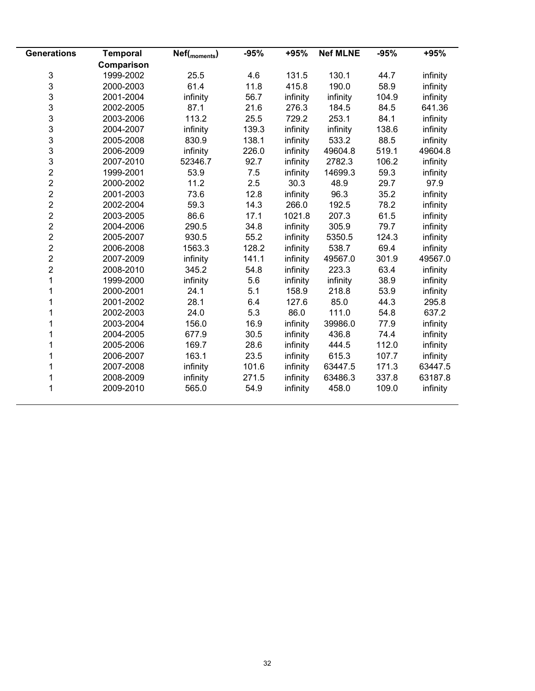| <b>Generations</b>      | <b>Temporal</b> | Nef( <sub>moments</sub> ) | $-95%$ | +95%     | <b>Nef MLNE</b> | $-95%$ | +95%     |
|-------------------------|-----------------|---------------------------|--------|----------|-----------------|--------|----------|
|                         | Comparison      |                           |        |          |                 |        |          |
| 3                       | 1999-2002       | 25.5                      | 4.6    | 131.5    | 130.1           | 44.7   | infinity |
| 3                       | 2000-2003       | 61.4                      | 11.8   | 415.8    | 190.0           | 58.9   | infinity |
| 3                       | 2001-2004       | infinity                  | 56.7   | infinity | infinity        | 104.9  | infinity |
| 3                       | 2002-2005       | 87.1                      | 21.6   | 276.3    | 184.5           | 84.5   | 641.36   |
| 3                       | 2003-2006       | 113.2                     | 25.5   | 729.2    | 253.1           | 84.1   | infinity |
| 3                       | 2004-2007       | infinity                  | 139.3  | infinity | infinity        | 138.6  | infinity |
| 3                       | 2005-2008       | 830.9                     | 138.1  | infinity | 533.2           | 88.5   | infinity |
| 3                       | 2006-2009       | infinity                  | 226.0  | infinity | 49604.8         | 519.1  | 49604.8  |
| 3                       | 2007-2010       | 52346.7                   | 92.7   | infinity | 2782.3          | 106.2  | infinity |
| $\overline{\mathbf{c}}$ | 1999-2001       | 53.9                      | 7.5    | infinity | 14699.3         | 59.3   | infinity |
| $\overline{2}$          | 2000-2002       | 11.2                      | 2.5    | 30.3     | 48.9            | 29.7   | 97.9     |
| $\overline{2}$          | 2001-2003       | 73.6                      | 12.8   | infinity | 96.3            | 35.2   | infinity |
| $\overline{2}$          | 2002-2004       | 59.3                      | 14.3   | 266.0    | 192.5           | 78.2   | infinity |
| $\overline{2}$          | 2003-2005       | 86.6                      | 17.1   | 1021.8   | 207.3           | 61.5   | infinity |
| $\overline{2}$          | 2004-2006       | 290.5                     | 34.8   | infinity | 305.9           | 79.7   | infinity |
| $\overline{2}$          | 2005-2007       | 930.5                     | 55.2   | infinity | 5350.5          | 124.3  | infinity |
| $\overline{2}$          | 2006-2008       | 1563.3                    | 128.2  | infinity | 538.7           | 69.4   | infinity |
| $\overline{2}$          | 2007-2009       | infinity                  | 141.1  | infinity | 49567.0         | 301.9  | 49567.0  |
| $\overline{2}$          | 2008-2010       | 345.2                     | 54.8   | infinity | 223.3           | 63.4   | infinity |
| 1                       | 1999-2000       | infinity                  | 5.6    | infinity | infinity        | 38.9   | infinity |
| 1                       | 2000-2001       | 24.1                      | 5.1    | 158.9    | 218.8           | 53.9   | infinity |
| 1                       | 2001-2002       | 28.1                      | 6.4    | 127.6    | 85.0            | 44.3   | 295.8    |
|                         | 2002-2003       | 24.0                      | 5.3    | 86.0     | 111.0           | 54.8   | 637.2    |
|                         | 2003-2004       | 156.0                     | 16.9   | infinity | 39986.0         | 77.9   | infinity |
| 1                       | 2004-2005       | 677.9                     | 30.5   | infinity | 436.8           | 74.4   | infinity |
|                         | 2005-2006       | 169.7                     | 28.6   | infinity | 444.5           | 112.0  | infinity |
|                         | 2006-2007       | 163.1                     | 23.5   | infinity | 615.3           | 107.7  | infinity |
|                         | 2007-2008       | infinity                  | 101.6  | infinity | 63447.5         | 171.3  | 63447.5  |
| 1                       | 2008-2009       | infinity                  | 271.5  | infinity | 63486.3         | 337.8  | 63187.8  |
|                         | 2009-2010       | 565.0                     | 54.9   | infinity | 458.0           | 109.0  | infinity |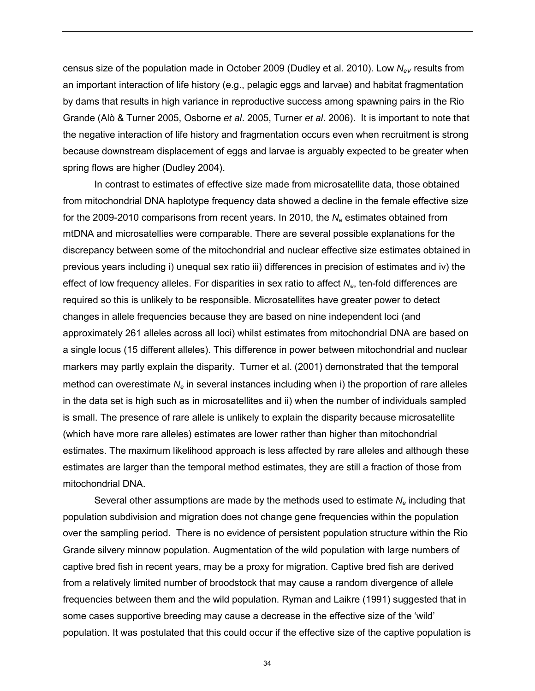census size of the population made in October 2009 (Dudley et al. 2010). Low *NeV* results from an important interaction of life history (e.g., pelagic eggs and larvae) and habitat fragmentation by dams that results in high variance in reproductive success among spawning pairs in the Rio Grande (Alò & Turner 2005, Osborne *et al*. 2005, Turner *et al*. 2006). It is important to note that the negative interaction of life history and fragmentation occurs even when recruitment is strong because downstream displacement of eggs and larvae is arguably expected to be greater when spring flows are higher (Dudley 2004).

In contrast to estimates of effective size made from microsatellite data, those obtained from mitochondrial DNA haplotype frequency data showed a decline in the female effective size for the 2009-2010 comparisons from recent years. In 2010, the N<sub>e</sub> estimates obtained from mtDNA and microsatellies were comparable. There are several possible explanations for the discrepancy between some of the mitochondrial and nuclear effective size estimates obtained in previous years including i) unequal sex ratio iii) differences in precision of estimates and iv) the effect of low frequency alleles. For disparities in sex ratio to affect *Ne*, ten-fold differences are required so this is unlikely to be responsible. Microsatellites have greater power to detect changes in allele frequencies because they are based on nine independent loci (and approximately 261 alleles across all loci) whilst estimates from mitochondrial DNA are based on a single locus (15 different alleles). This difference in power between mitochondrial and nuclear markers may partly explain the disparity. Turner et al. (2001) demonstrated that the temporal method can overestimate N<sub>e</sub> in several instances including when i) the proportion of rare alleles in the data set is high such as in microsatellites and ii) when the number of individuals sampled is small. The presence of rare allele is unlikely to explain the disparity because microsatellite (which have more rare alleles) estimates are lower rather than higher than mitochondrial estimates. The maximum likelihood approach is less affected by rare alleles and although these estimates are larger than the temporal method estimates, they are still a fraction of those from mitochondrial DNA.

Several other assumptions are made by the methods used to estimate *Ne* including that population subdivision and migration does not change gene frequencies within the population over the sampling period. There is no evidence of persistent population structure within the Rio Grande silvery minnow population. Augmentation of the wild population with large numbers of captive bred fish in recent years, may be a proxy for migration. Captive bred fish are derived from a relatively limited number of broodstock that may cause a random divergence of allele frequencies between them and the wild population. Ryman and Laikre (1991) suggested that in some cases supportive breeding may cause a decrease in the effective size of the 'wild' population. It was postulated that this could occur if the effective size of the captive population is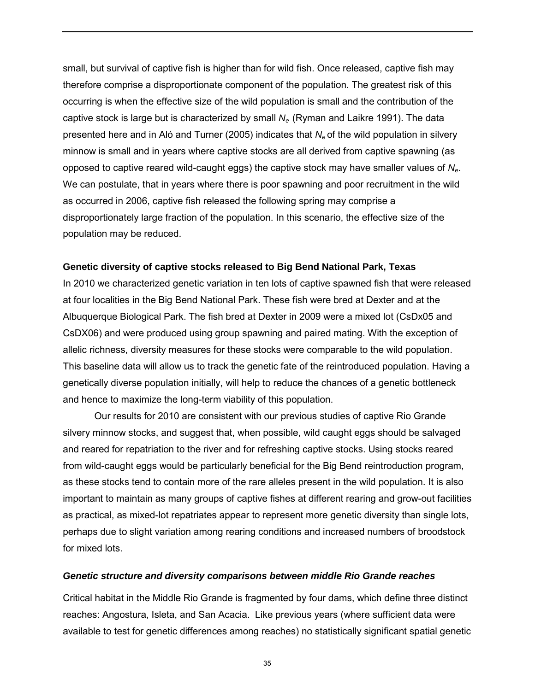small, but survival of captive fish is higher than for wild fish. Once released, captive fish may therefore comprise a disproportionate component of the population. The greatest risk of this occurring is when the effective size of the wild population is small and the contribution of the captive stock is large but is characterized by small *Ne* (Ryman and Laikre 1991). The data presented here and in Aló and Turner (2005) indicates that *Ne* of the wild population in silvery minnow is small and in years where captive stocks are all derived from captive spawning (as opposed to captive reared wild-caught eggs) the captive stock may have smaller values of *Ne*. We can postulate, that in years where there is poor spawning and poor recruitment in the wild as occurred in 2006, captive fish released the following spring may comprise a disproportionately large fraction of the population. In this scenario, the effective size of the population may be reduced.

## **Genetic diversity of captive stocks released to Big Bend National Park, Texas**

In 2010 we characterized genetic variation in ten lots of captive spawned fish that were released at four localities in the Big Bend National Park. These fish were bred at Dexter and at the Albuquerque Biological Park. The fish bred at Dexter in 2009 were a mixed lot (CsDx05 and CsDX06) and were produced using group spawning and paired mating. With the exception of allelic richness, diversity measures for these stocks were comparable to the wild population. This baseline data will allow us to track the genetic fate of the reintroduced population. Having a genetically diverse population initially, will help to reduce the chances of a genetic bottleneck and hence to maximize the long-term viability of this population.

Our results for 2010 are consistent with our previous studies of captive Rio Grande silvery minnow stocks, and suggest that, when possible, wild caught eggs should be salvaged and reared for repatriation to the river and for refreshing captive stocks. Using stocks reared from wild-caught eggs would be particularly beneficial for the Big Bend reintroduction program, as these stocks tend to contain more of the rare alleles present in the wild population. It is also important to maintain as many groups of captive fishes at different rearing and grow-out facilities as practical, as mixed-lot repatriates appear to represent more genetic diversity than single lots, perhaps due to slight variation among rearing conditions and increased numbers of broodstock for mixed lots.

## *Genetic structure and diversity comparisons between middle Rio Grande reaches*

Critical habitat in the Middle Rio Grande is fragmented by four dams, which define three distinct reaches: Angostura, Isleta, and San Acacia. Like previous years (where sufficient data were available to test for genetic differences among reaches) no statistically significant spatial genetic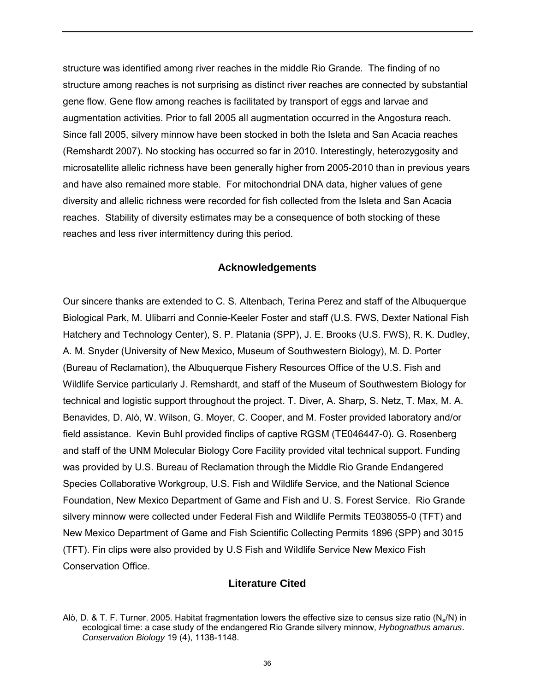structure was identified among river reaches in the middle Rio Grande. The finding of no structure among reaches is not surprising as distinct river reaches are connected by substantial gene flow. Gene flow among reaches is facilitated by transport of eggs and larvae and augmentation activities. Prior to fall 2005 all augmentation occurred in the Angostura reach. Since fall 2005, silvery minnow have been stocked in both the Isleta and San Acacia reaches (Remshardt 2007). No stocking has occurred so far in 2010. Interestingly, heterozygosity and microsatellite allelic richness have been generally higher from 2005-2010 than in previous years and have also remained more stable. For mitochondrial DNA data, higher values of gene diversity and allelic richness were recorded for fish collected from the Isleta and San Acacia reaches. Stability of diversity estimates may be a consequence of both stocking of these reaches and less river intermittency during this period.

## **Acknowledgements**

Our sincere thanks are extended to C. S. Altenbach, Terina Perez and staff of the Albuquerque Biological Park, M. Ulibarri and Connie-Keeler Foster and staff (U.S. FWS, Dexter National Fish Hatchery and Technology Center), S. P. Platania (SPP), J. E. Brooks (U.S. FWS), R. K. Dudley, A. M. Snyder (University of New Mexico, Museum of Southwestern Biology), M. D. Porter (Bureau of Reclamation), the Albuquerque Fishery Resources Office of the U.S. Fish and Wildlife Service particularly J. Remshardt, and staff of the Museum of Southwestern Biology for technical and logistic support throughout the project. T. Diver, A. Sharp, S. Netz, T. Max, M. A. Benavides, D. Alò, W. Wilson, G. Moyer, C. Cooper, and M. Foster provided laboratory and/or field assistance. Kevin Buhl provided finclips of captive RGSM (TE046447-0). G. Rosenberg and staff of the UNM Molecular Biology Core Facility provided vital technical support. Funding was provided by U.S. Bureau of Reclamation through the Middle Rio Grande Endangered Species Collaborative Workgroup, U.S. Fish and Wildlife Service, and the National Science Foundation, New Mexico Department of Game and Fish and U. S. Forest Service. Rio Grande silvery minnow were collected under Federal Fish and Wildlife Permits TE038055-0 (TFT) and New Mexico Department of Game and Fish Scientific Collecting Permits 1896 (SPP) and 3015 (TFT). Fin clips were also provided by U.S Fish and Wildlife Service New Mexico Fish Conservation Office.

## **Literature Cited**

Alò, D. & T. F. Turner. 2005. Habitat fragmentation lowers the effective size to census size ratio (Ne/N) in ecological time: a case study of the endangered Rio Grande silvery minnow, *Hybognathus amarus*. *Conservation Biology* 19 (4), 1138-1148.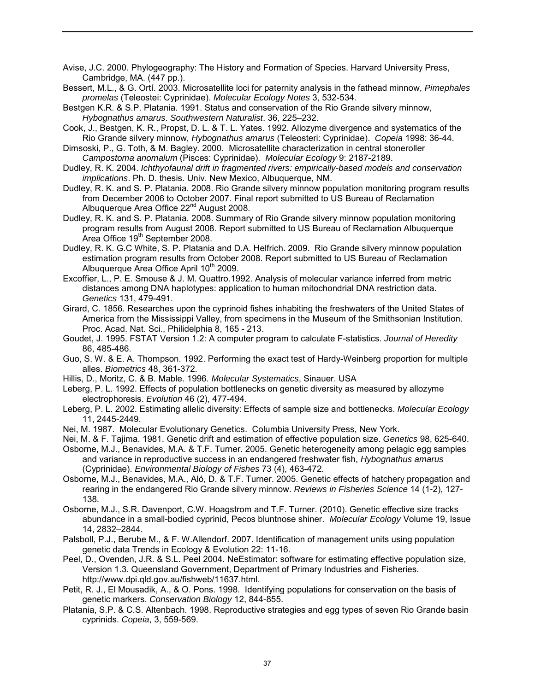Avise, J.C. 2000. Phylogeography: The History and Formation of Species. Harvard University Press, Cambridge, MA. (447 pp.).

Bessert, M.L., & G. Ortí. 2003. Microsatellite loci for paternity analysis in the fathead minnow, *Pimephales promelas* (Teleostei: Cyprinidae). *Molecular Ecology Notes* 3, 532-534.

Bestgen K.R. & S.P. Platania. 1991. Status and conservation of the Rio Grande silvery minnow, *[Hybognathus amarus](http://www.itis.usda.gov/servlet/SingleRpt/SingleRpt?search_topic=all&search_value=Hybognathus+amarus&search_kingdom=every&search_span=exactly_for&categories=All&source=html&search_credRating=All)*. *Southwestern Naturalist*. 36, 225–232.

- Cook, J., Bestgen, K. R., Propst, D. L. & T. L. Yates. 1992. Allozyme divergence and systematics of the Rio Grande silvery minnow, *Hybognathus amarus* (Teleosteri: Cyprinidae). *Copeia* 1998: 36-44.
- Dimsoski, P., G. Toth, & M. Bagley. 2000. Microsatellite characterization in central stoneroller *Campostoma anomalum* (Pisces: Cyprinidae). *Molecular Ecology* 9: 2187-2189.
- Dudley, R. K. 2004. *Ichthyofaunal drift in fragmented rivers: empirically-based models and conservation implications*. Ph. D. thesis. Univ. New Mexico, Albuquerque, NM.
- Dudley, R. K. and S. P. Platania. 2008. Rio Grande silvery minnow population monitoring program results from December 2006 to October 2007. Final report submitted to US Bureau of Reclamation Albuquerque Area Office 22<sup>nd</sup> August 2008.
- Dudley, R. K. and S. P. Platania. 2008. Summary of Rio Grande silvery minnow population monitoring program results from August 2008. Report submitted to US Bureau of Reclamation Albuquerque Area Office 19<sup>th</sup> September 2008.
- Dudley, R. K. G.C White, S. P. Platania and D.A. Helfrich. 2009. Rio Grande silvery minnow population estimation program results from October 2008. Report submitted to US Bureau of Reclamation Albuquerque Area Office April 10<sup>th</sup> 2009.
- Excoffier, L., P. E. Smouse & J. M. Quattro.1992. Analysis of molecular variance inferred from metric distances among DNA haplotypes: application to human mitochondrial DNA restriction data. *Genetics* 131, 479-491.
- Girard, C. 1856. Researches upon the cyprinoid fishes inhabiting the freshwaters of the United States of America from the Mississippi Valley, from specimens in the Museum of the Smithsonian Institution. Proc. Acad. Nat. Sci., Philidelphia 8, 165 - 213.
- Goudet, J. 1995. FSTAT Version 1.2: A computer program to calculate F-statistics. *Journal of Heredity* 86, 485-486.
- Guo, S. W. & E. A. Thompson. 1992. Performing the exact test of Hardy-Weinberg proportion for multiple alles. *Biometrics* 48, 361-372.
- Hillis, D., Moritz, C. & B. Mable. 1996. *Molecular Systematics*, Sinauer. USA
- Leberg, P. L. 1992. Effects of population bottlenecks on genetic diversity as measured by allozyme electrophoresis. *Evolution* 46 (2), 477-494.
- Leberg, P. L. 2002. Estimating allelic diversity: Effects of sample size and bottlenecks. *Molecular Ecology* 11, 2445-2449.
- Nei, M. 1987. Molecular Evolutionary Genetics. Columbia University Press, New York.
- Nei, M. & F. Tajima. 1981. Genetic drift and estimation of effective population size. *Genetics* 98, 625-640.
- Osborne, M.J., Benavides, M.A. & T.F. Turner. 2005. Genetic heterogeneity among pelagic egg samples and variance in reproductive success in an endangered freshwater fish, *Hybognathus amarus* (Cyprinidae). *Environmental Biology of Fishes* 73 (4), 463-472.
- Osborne, M.J., Benavides, M.A., Aló, D. & T.F. Turner. 2005. Genetic effects of hatchery propagation and rearing in the endangered Rio Grande silvery minnow. *Reviews in Fisheries Science* 14 (1-2), 127- 138.
- Osborne, M.J., S.R. Davenport, C.W. Hoagstrom and T.F. Turner. (2010). Genetic effective size tracks abundance in a small-bodied cyprinid, Pecos bluntnose shiner. *Molecular Ecology* [Volume 19, Issue](http://onlinelibrary.wiley.com/doi/10.1111/mec.2010.19.issue-14/issuetoc)  [14, 2](http://onlinelibrary.wiley.com/doi/10.1111/mec.2010.19.issue-14/issuetoc)832–2844.
- Palsboll, P.J., Berube M., & F. W.Allendorf. 2007. Identification of management units using population genetic data Trends in Ecology & Evolution 22: 11-16.
- Peel, D., Ovenden, J.R. & S.L. Peel 2004. NeEstimator: software for estimating effective population size, Version 1.3. Queensland Government, Department of Primary Industries and Fisheries. http://www.dpi.qld.gov.au/fishweb/11637.html.
- Petit, R. J., El Mousadik, A., & O. Pons. 1998. Identifying populations for conservation on the basis of genetic markers. *Conservation Biology* 12, 844-855.
- [Platania, S.P. & C.S. Altenbach. 1998.](http://www.msb.unm.edu/fishes/publications/SPP_CSA_1998.pdf) Reproductive strategies and egg types of seven Rio Grande basin cyprinids. *Copeia*, 3, 559-569.